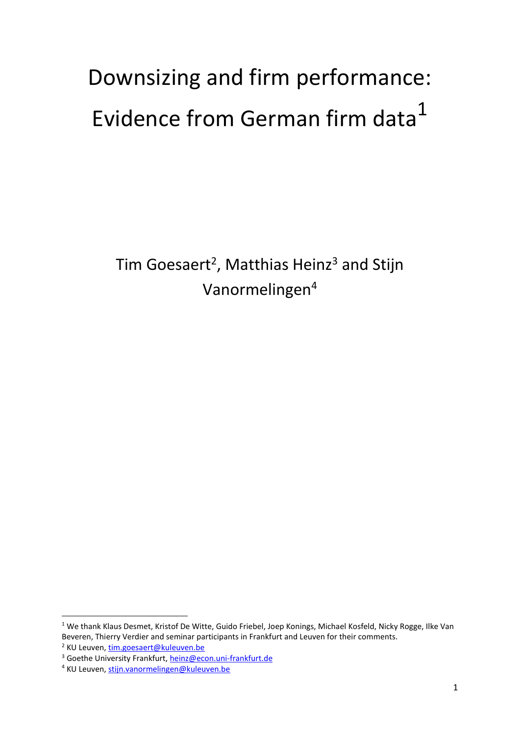# Downsizing and firm performance: Evidence from German firm data<sup>1</sup>

Tim Goesaert<sup>2</sup>, Matthias Heinz<sup>3</sup> and Stijn Vanormelingen<sup>4</sup>

**.** 

<sup>&</sup>lt;sup>1</sup> We thank Klaus Desmet, Kristof De Witte, Guido Friebel, Joep Konings, Michael Kosfeld, Nicky Rogge, Ilke Van Beveren, Thierry Verdier and seminar participants in Frankfurt and Leuven for their comments.

<sup>2</sup> KU Leuven, [tim.goesaert@kuleuven.be](mailto:tim.goesaert@kuleuven.be)

<sup>&</sup>lt;sup>3</sup> Goethe University Frankfurt[, heinz@econ.uni-frankfurt.de](mailto:heinz@econ.uni-frankfurt.de)

<sup>4</sup> KU Leuven, [stijn.vanormelingen@kuleuven.be](mailto:stijn.vanormelingen@kuleuven.be)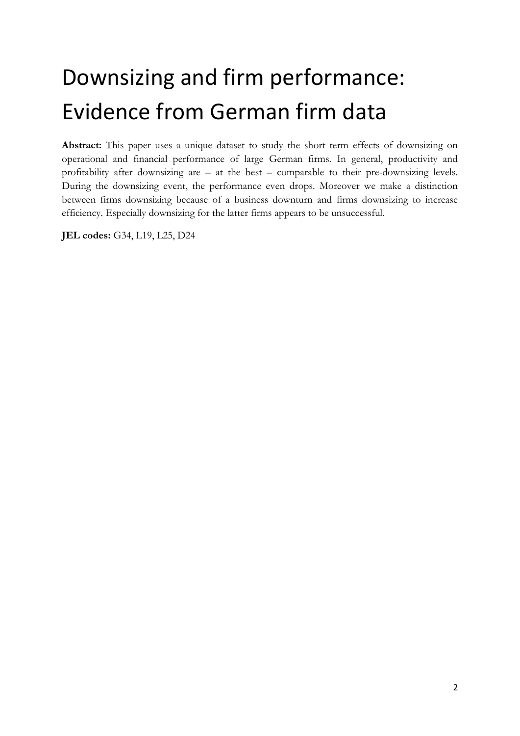## Downsizing and firm performance: Evidence from German firm data

**Abstract:** This paper uses a unique dataset to study the short term effects of downsizing on operational and financial performance of large German firms. In general, productivity and profitability after downsizing are – at the best – comparable to their pre-downsizing levels. During the downsizing event, the performance even drops. Moreover we make a distinction between firms downsizing because of a business downturn and firms downsizing to increase efficiency. Especially downsizing for the latter firms appears to be unsuccessful.

**JEL codes:** G34, L19, L25, D24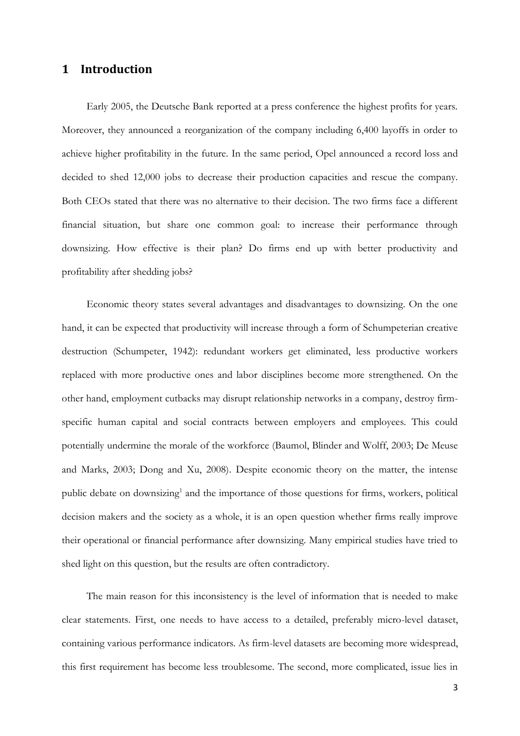## **1 Introduction**

Early 2005, the Deutsche Bank reported at a press conference the highest profits for years. Moreover, they announced a reorganization of the company including 6,400 layoffs in order to achieve higher profitability in the future. In the same period, Opel announced a record loss and decided to shed 12,000 jobs to decrease their production capacities and rescue the company. Both CEOs stated that there was no alternative to their decision. The two firms face a different financial situation, but share one common goal: to increase their performance through downsizing. How effective is their plan? Do firms end up with better productivity and profitability after shedding jobs?

Economic theory states several advantages and disadvantages to downsizing. On the one hand, it can be expected that productivity will increase through a form of Schumpeterian creative destruction (Schumpeter, 1942): redundant workers get eliminated, less productive workers replaced with more productive ones and labor disciplines become more strengthened. On the other hand, employment cutbacks may disrupt relationship networks in a company, destroy firmspecific human capital and social contracts between employers and employees. This could potentially undermine the morale of the workforce (Baumol, Blinder and Wolff, 2003; De Meuse and Marks, 2003; Dong and Xu, 2008). Despite economic theory on the matter, the intense public debate on downsizing<sup>1</sup> and the importance of those questions for firms, workers, political decision makers and the society as a whole, it is an open question whether firms really improve their operational or financial performance after downsizing. Many empirical studies have tried to shed light on this question, but the results are often contradictory.

The main reason for this inconsistency is the level of information that is needed to make clear statements. First, one needs to have access to a detailed, preferably micro-level dataset, containing various performance indicators. As firm-level datasets are becoming more widespread, this first requirement has become less troublesome. The second, more complicated, issue lies in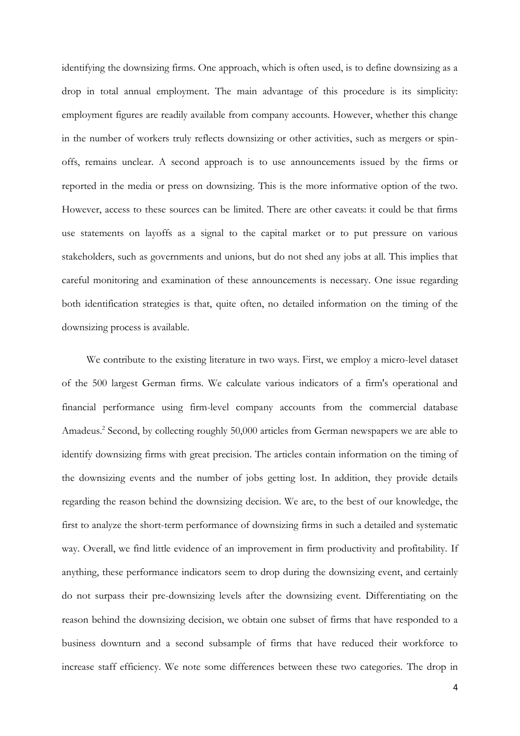identifying the downsizing firms. One approach, which is often used, is to define downsizing as a drop in total annual employment. The main advantage of this procedure is its simplicity: employment figures are readily available from company accounts. However, whether this change in the number of workers truly reflects downsizing or other activities, such as mergers or spinoffs, remains unclear. A second approach is to use announcements issued by the firms or reported in the media or press on downsizing. This is the more informative option of the two. However, access to these sources can be limited. There are other caveats: it could be that firms use statements on layoffs as a signal to the capital market or to put pressure on various stakeholders, such as governments and unions, but do not shed any jobs at all. This implies that careful monitoring and examination of these announcements is necessary. One issue regarding both identification strategies is that, quite often, no detailed information on the timing of the downsizing process is available.

We contribute to the existing literature in two ways. First, we employ a micro-level dataset of the 500 largest German firms. We calculate various indicators of a firm's operational and financial performance using firm-level company accounts from the commercial database Amadeus. 2 Second, by collecting roughly 50,000 articles from German newspapers we are able to identify downsizing firms with great precision. The articles contain information on the timing of the downsizing events and the number of jobs getting lost. In addition, they provide details regarding the reason behind the downsizing decision. We are, to the best of our knowledge, the first to analyze the short-term performance of downsizing firms in such a detailed and systematic way. Overall, we find little evidence of an improvement in firm productivity and profitability. If anything, these performance indicators seem to drop during the downsizing event, and certainly do not surpass their pre-downsizing levels after the downsizing event. Differentiating on the reason behind the downsizing decision, we obtain one subset of firms that have responded to a business downturn and a second subsample of firms that have reduced their workforce to increase staff efficiency. We note some differences between these two categories. The drop in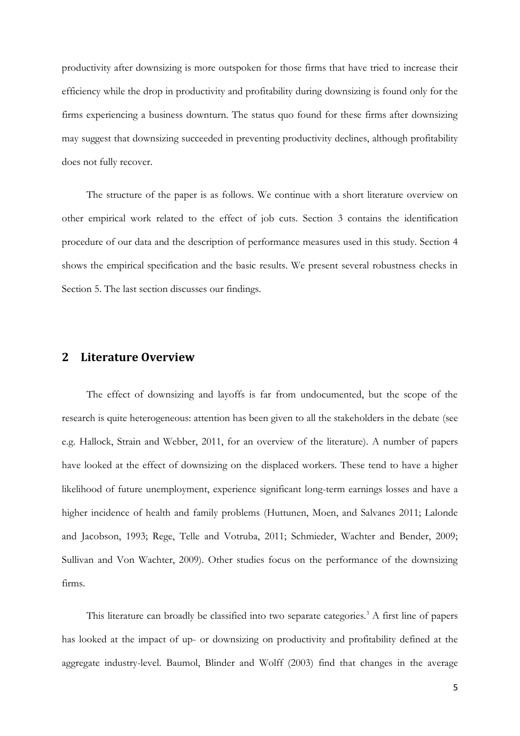productivity after downsizing is more outspoken for those firms that have tried to increase their efficiency while the drop in productivity and profitability during downsizing is found only for the firms experiencing a business downturn. The status quo found for these firms after downsizing may suggest that downsizing succeeded in preventing productivity declines, although profitability does not fully recover.

The structure of the paper is as follows. We continue with a short literature overview on other empirical work related to the effect of job cuts. Section 3 contains the identification procedure of our data and the description of performance measures used in this study. Section 4 shows the empirical specification and the basic results. We present several robustness checks in Section 5. The last section discusses our findings.

## **2 Literature Overview**

The effect of downsizing and layoffs is far from undocumented, but the scope of the research is quite heterogeneous: attention has been given to all the stakeholders in the debate (see e.g. Hallock, Strain and Webber, 2011, for an overview of the literature). A number of papers have looked at the effect of downsizing on the displaced workers. These tend to have a higher likelihood of future unemployment, experience significant long-term earnings losses and have a higher incidence of health and family problems (Huttunen, Moen, and Salvanes 2011; Lalonde and Jacobson, 1993; Rege, Telle and Votruba, 2011; Schmieder, Wachter and Bender, 2009; Sullivan and Von Wachter, 2009). Other studies focus on the performance of the downsizing firms.

This literature can broadly be classified into two separate categories.<sup>3</sup> A first line of papers has looked at the impact of up- or downsizing on productivity and profitability defined at the aggregate industry-level. Baumol, Blinder and Wolff (2003) find that changes in the average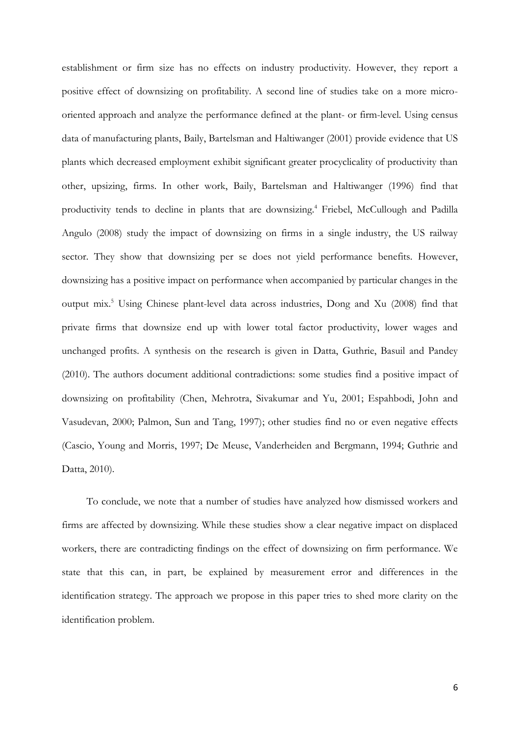establishment or firm size has no effects on industry productivity. However, they report a positive effect of downsizing on profitability. A second line of studies take on a more microoriented approach and analyze the performance defined at the plant- or firm-level. Using census data of manufacturing plants, Baily, Bartelsman and Haltiwanger (2001) provide evidence that US plants which decreased employment exhibit significant greater procyclicality of productivity than other, upsizing, firms. In other work, Baily, Bartelsman and Haltiwanger (1996) find that productivity tends to decline in plants that are downsizing.<sup>4</sup> Friebel, McCullough and Padilla Angulo (2008) study the impact of downsizing on firms in a single industry, the US railway sector. They show that downsizing per se does not yield performance benefits. However, downsizing has a positive impact on performance when accompanied by particular changes in the output mix. <sup>5</sup> Using Chinese plant-level data across industries, Dong and Xu (2008) find that private firms that downsize end up with lower total factor productivity, lower wages and unchanged profits. A synthesis on the research is given in Datta, Guthrie, Basuil and Pandey (2010). The authors document additional contradictions: some studies find a positive impact of downsizing on profitability (Chen, Mehrotra, Sivakumar and Yu, 2001; Espahbodi, John and Vasudevan, 2000; Palmon, Sun and Tang, 1997); other studies find no or even negative effects (Cascio, Young and Morris, 1997; De Meuse, Vanderheiden and Bergmann, 1994; Guthrie and Datta, 2010).

To conclude, we note that a number of studies have analyzed how dismissed workers and firms are affected by downsizing. While these studies show a clear negative impact on displaced workers, there are contradicting findings on the effect of downsizing on firm performance. We state that this can, in part, be explained by measurement error and differences in the identification strategy. The approach we propose in this paper tries to shed more clarity on the identification problem.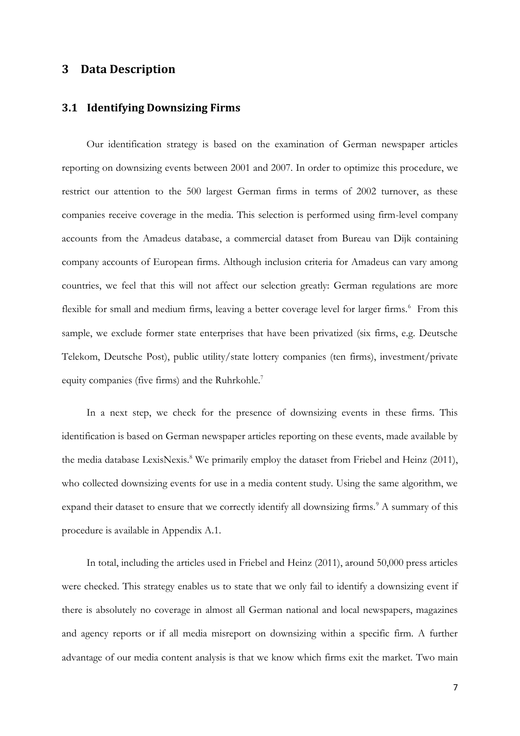## **3 Data Description**

## **3.1 Identifying Downsizing Firms**

Our identification strategy is based on the examination of German newspaper articles reporting on downsizing events between 2001 and 2007. In order to optimize this procedure, we restrict our attention to the 500 largest German firms in terms of 2002 turnover, as these companies receive coverage in the media. This selection is performed using firm-level company accounts from the Amadeus database, a commercial dataset from Bureau van Dijk containing company accounts of European firms. Although inclusion criteria for Amadeus can vary among countries, we feel that this will not affect our selection greatly: German regulations are more flexible for small and medium firms, leaving a better coverage level for larger firms.<sup>6</sup> From this sample, we exclude former state enterprises that have been privatized (six firms, e.g. Deutsche Telekom, Deutsche Post), public utility/state lottery companies (ten firms), investment/private equity companies (five firms) and the Ruhrkohle.<sup>7</sup>

In a next step, we check for the presence of downsizing events in these firms. This identification is based on German newspaper articles reporting on these events, made available by the media database LexisNexis.<sup>8</sup> We primarily employ the dataset from Friebel and Heinz (2011), who collected downsizing events for use in a media content study. Using the same algorithm, we expand their dataset to ensure that we correctly identify all downsizing firms.<sup>9</sup> A summary of this procedure is available in Appendix A.1.

In total, including the articles used in Friebel and Heinz (2011), around 50,000 press articles were checked. This strategy enables us to state that we only fail to identify a downsizing event if there is absolutely no coverage in almost all German national and local newspapers, magazines and agency reports or if all media misreport on downsizing within a specific firm. A further advantage of our media content analysis is that we know which firms exit the market. Two main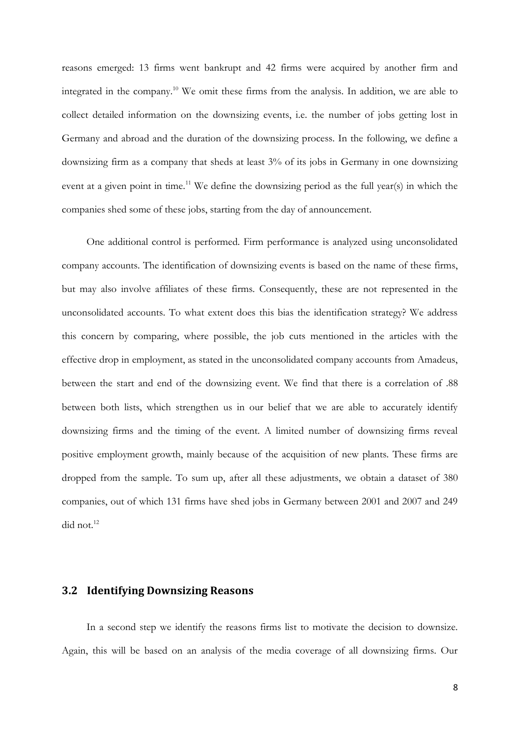reasons emerged: 13 firms went bankrupt and 42 firms were acquired by another firm and integrated in the company.<sup>10</sup> We omit these firms from the analysis. In addition, we are able to collect detailed information on the downsizing events, i.e. the number of jobs getting lost in Germany and abroad and the duration of the downsizing process. In the following, we define a downsizing firm as a company that sheds at least 3% of its jobs in Germany in one downsizing event at a given point in time.<sup>11</sup> We define the downsizing period as the full year(s) in which the companies shed some of these jobs, starting from the day of announcement.

One additional control is performed. Firm performance is analyzed using unconsolidated company accounts. The identification of downsizing events is based on the name of these firms, but may also involve affiliates of these firms. Consequently, these are not represented in the unconsolidated accounts. To what extent does this bias the identification strategy? We address this concern by comparing, where possible, the job cuts mentioned in the articles with the effective drop in employment, as stated in the unconsolidated company accounts from Amadeus, between the start and end of the downsizing event. We find that there is a correlation of .88 between both lists, which strengthen us in our belief that we are able to accurately identify downsizing firms and the timing of the event. A limited number of downsizing firms reveal positive employment growth, mainly because of the acquisition of new plants. These firms are dropped from the sample. To sum up, after all these adjustments, we obtain a dataset of 380 companies, out of which 131 firms have shed jobs in Germany between 2001 and 2007 and 249 did not. $12$ 

## **3.2 Identifying Downsizing Reasons**

In a second step we identify the reasons firms list to motivate the decision to downsize. Again, this will be based on an analysis of the media coverage of all downsizing firms. Our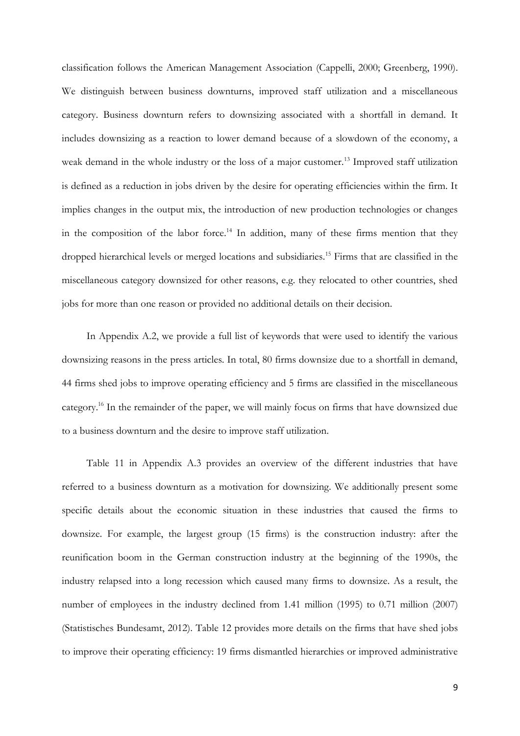classification follows the American Management Association (Cappelli, 2000; Greenberg, 1990). We distinguish between business downturns, improved staff utilization and a miscellaneous category. Business downturn refers to downsizing associated with a shortfall in demand. It includes downsizing as a reaction to lower demand because of a slowdown of the economy, a weak demand in the whole industry or the loss of a major customer.<sup>13</sup> Improved staff utilization is defined as a reduction in jobs driven by the desire for operating efficiencies within the firm. It implies changes in the output mix, the introduction of new production technologies or changes in the composition of the labor force.<sup>14</sup> In addition, many of these firms mention that they dropped hierarchical levels or merged locations and subsidiaries.<sup>15</sup> Firms that are classified in the miscellaneous category downsized for other reasons, e.g. they relocated to other countries, shed jobs for more than one reason or provided no additional details on their decision.

In Appendix A.2, we provide a full list of keywords that were used to identify the various downsizing reasons in the press articles. In total, 80 firms downsize due to a shortfall in demand, 44 firms shed jobs to improve operating efficiency and 5 firms are classified in the miscellaneous category.<sup>16</sup> In the remainder of the paper, we will mainly focus on firms that have downsized due to a business downturn and the desire to improve staff utilization.

[Table 11](#page-36-0) in Appendix A.3 provides an overview of the different industries that have referred to a business downturn as a motivation for downsizing. We additionally present some specific details about the economic situation in these industries that caused the firms to downsize. For example, the largest group (15 firms) is the construction industry: after the reunification boom in the German construction industry at the beginning of the 1990s, the industry relapsed into a long recession which caused many firms to downsize. As a result, the number of employees in the industry declined from 1.41 million (1995) to 0.71 million (2007) (Statistisches Bundesamt, 2012). [Table 12](#page-37-0) provides more details on the firms that have shed jobs to improve their operating efficiency: 19 firms dismantled hierarchies or improved administrative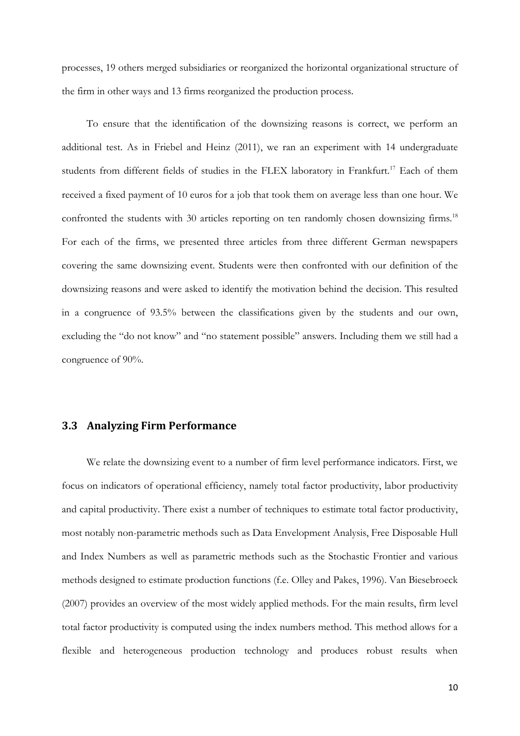processes, 19 others merged subsidiaries or reorganized the horizontal organizational structure of the firm in other ways and 13 firms reorganized the production process.

To ensure that the identification of the downsizing reasons is correct, we perform an additional test. As in Friebel and Heinz (2011), we ran an experiment with 14 undergraduate students from different fields of studies in the FLEX laboratory in Frankfurt.<sup>17</sup> Each of them received a fixed payment of 10 euros for a job that took them on average less than one hour. We confronted the students with 30 articles reporting on ten randomly chosen downsizing firms.<sup>18</sup> For each of the firms, we presented three articles from three different German newspapers covering the same downsizing event. Students were then confronted with our definition of the downsizing reasons and were asked to identify the motivation behind the decision. This resulted in a congruence of 93.5% between the classifications given by the students and our own, excluding the "do not know" and "no statement possible" answers. Including them we still had a congruence of 90%.

## **3.3 Analyzing Firm Performance**

We relate the downsizing event to a number of firm level performance indicators. First, we focus on indicators of operational efficiency, namely total factor productivity, labor productivity and capital productivity. There exist a number of techniques to estimate total factor productivity, most notably non-parametric methods such as Data Envelopment Analysis, Free Disposable Hull and Index Numbers as well as parametric methods such as the Stochastic Frontier and various methods designed to estimate production functions (f.e. Olley and Pakes, 1996). Van Biesebroeck (2007) provides an overview of the most widely applied methods. For the main results, firm level total factor productivity is computed using the index numbers method. This method allows for a flexible and heterogeneous production technology and produces robust results when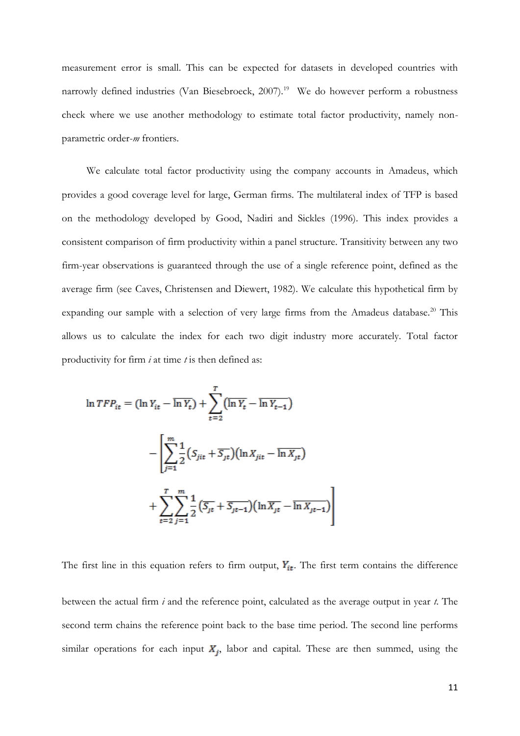measurement error is small. This can be expected for datasets in developed countries with narrowly defined industries (Van Biesebroeck, 2007).<sup>19</sup> We do however perform a robustness check where we use another methodology to estimate total factor productivity, namely nonparametric order-*m* frontiers.

We calculate total factor productivity using the company accounts in Amadeus, which provides a good coverage level for large, German firms. The multilateral index of TFP is based on the methodology developed by Good, Nadiri and Sickles (1996). This index provides a consistent comparison of firm productivity within a panel structure. Transitivity between any two firm-year observations is guaranteed through the use of a single reference point, defined as the average firm (see Caves, Christensen and Diewert, 1982). We calculate this hypothetical firm by expanding our sample with a selection of very large firms from the Amadeus database.<sup>20</sup> This allows us to calculate the index for each two digit industry more accurately. Total factor productivity for firm *i* at time *t* is then defined as:

$$
\ln TFP_{it} = (\ln Y_{it} - \overline{\ln Y_{t}}) + \sum_{t=2}^{T} (\overline{\ln Y_{t}} - \overline{\ln Y_{t-1}})
$$

$$
- \left[ \sum_{j=1}^{m} \frac{1}{2} (S_{jit} + \overline{S_{jt}}) (\ln X_{jit} - \overline{\ln X_{jt}})
$$

$$
+ \sum_{t=2}^{T} \sum_{j=1}^{m} \frac{1}{2} (\overline{S_{jt}} + \overline{S_{jt-1}}) (\ln \overline{X_{jt}} - \overline{\ln X_{jt-1}})
$$

The first line in this equation refers to firm output,  $Y_{it}$ . The first term contains the difference

between the actual firm *i* and the reference point, calculated as the average output in year *t*. The second term chains the reference point back to the base time period. The second line performs similar operations for each input  $X_i$ , labor and capital. These are then summed, using the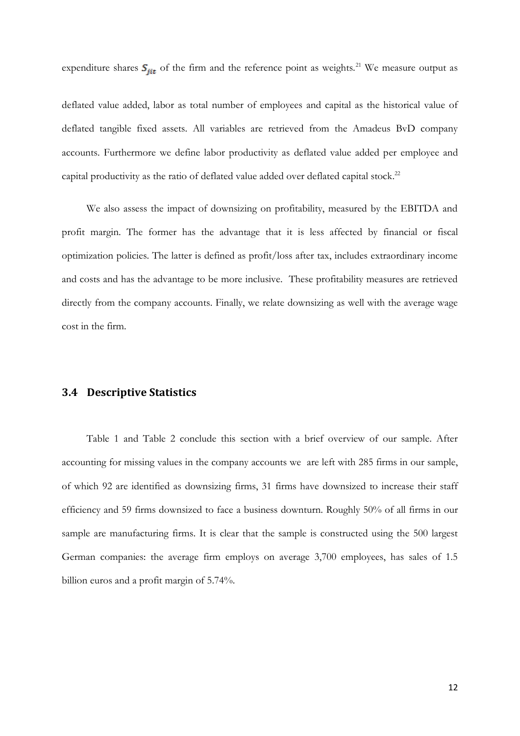expenditure shares  $S_{ijt}$  of the firm and the reference point as weights.<sup>21</sup> We measure output as

deflated value added, labor as total number of employees and capital as the historical value of deflated tangible fixed assets. All variables are retrieved from the Amadeus BvD company accounts. Furthermore we define labor productivity as deflated value added per employee and capital productivity as the ratio of deflated value added over deflated capital stock.<sup>22</sup>

We also assess the impact of downsizing on profitability, measured by the EBITDA and profit margin. The former has the advantage that it is less affected by financial or fiscal optimization policies. The latter is defined as profit/loss after tax, includes extraordinary income and costs and has the advantage to be more inclusive. These profitability measures are retrieved directly from the company accounts. Finally, we relate downsizing as well with the average wage cost in the firm.

#### **3.4 Descriptive Statistics**

[Table](#page-12-0) 1 and [Table 2](#page-12-1) conclude this section with a brief overview of our sample. After accounting for missing values in the company accounts we are left with 285 firms in our sample, of which 92 are identified as downsizing firms, 31 firms have downsized to increase their staff efficiency and 59 firms downsized to face a business downturn. Roughly 50% of all firms in our sample are manufacturing firms. It is clear that the sample is constructed using the 500 largest German companies: the average firm employs on average 3,700 employees, has sales of 1.5 billion euros and a profit margin of 5.74%.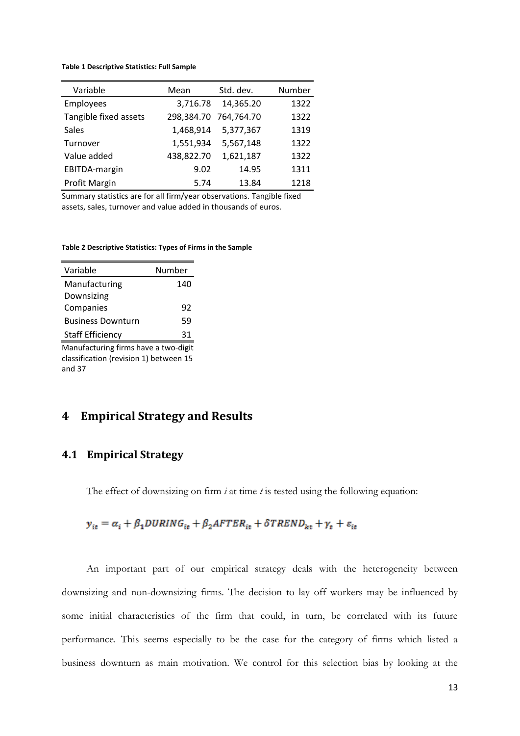#### <span id="page-12-0"></span>**Table 1 Descriptive Statistics: Full Sample**

| Variable              | Mean       | Std. dev.             | Number |
|-----------------------|------------|-----------------------|--------|
| Employees             | 3,716.78   | 14,365.20             | 1322   |
| Tangible fixed assets |            | 298,384.70 764,764.70 | 1322   |
| <b>Sales</b>          | 1,468,914  | 5,377,367             | 1319   |
| Turnover              | 1,551,934  | 5,567,148             | 1322   |
| Value added           | 438,822.70 | 1,621,187             | 1322   |
| EBITDA-margin         | 9.02       | 14.95                 | 1311   |
| Profit Margin         | 5.74       | 13.84                 | 1218   |

Summary statistics are for all firm/year observations. Tangible fixed assets, sales, turnover and value added in thousands of euros.

#### <span id="page-12-1"></span>**Table 2 Descriptive Statistics: Types of Firms in the Sample**

| Variable                 | Number |
|--------------------------|--------|
| Manufacturing            | 140    |
| Downsizing               |        |
| Companies                | 92     |
| <b>Business Downturn</b> | 59     |
| <b>Staff Efficiency</b>  | 31     |
| .                        |        |

Manufacturing firms have a two-digit classification (revision 1) between 15 and 37

## **4 Empirical Strategy and Results**

## **4.1 Empirical Strategy**

The effect of downsizing on firm *i* at time *t* is tested using the following equation:

$$
y_{it} = \alpha_i + \beta_1 DURING_{it} + \beta_2 AFTER_{it} + \delta TREND_{kt} + \gamma_t + \varepsilon_{it}
$$

An important part of our empirical strategy deals with the heterogeneity between downsizing and non-downsizing firms. The decision to lay off workers may be influenced by some initial characteristics of the firm that could, in turn, be correlated with its future performance. This seems especially to be the case for the category of firms which listed a business downturn as main motivation. We control for this selection bias by looking at the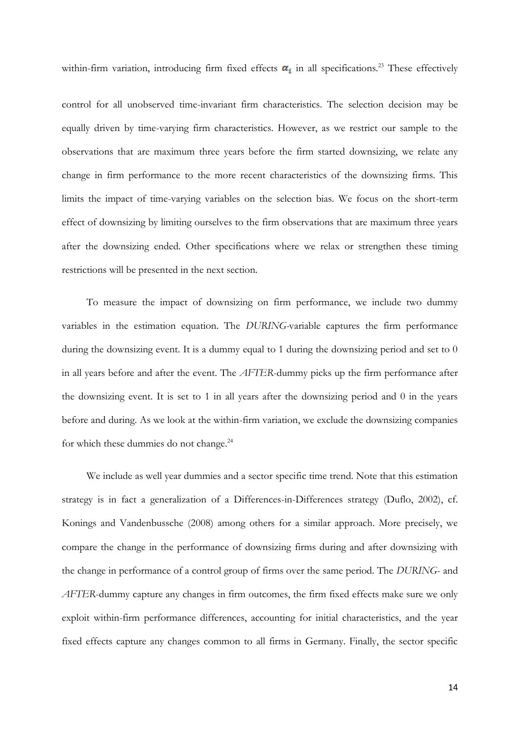within-firm variation, introducing firm fixed effects  $\alpha_i$  in all specifications.<sup>23</sup> These effectively

control for all unobserved time-invariant firm characteristics. The selection decision may be equally driven by time-varying firm characteristics. However, as we restrict our sample to the observations that are maximum three years before the firm started downsizing, we relate any change in firm performance to the more recent characteristics of the downsizing firms. This limits the impact of time-varying variables on the selection bias. We focus on the short-term effect of downsizing by limiting ourselves to the firm observations that are maximum three years after the downsizing ended. Other specifications where we relax or strengthen these timing restrictions will be presented in the next section.

To measure the impact of downsizing on firm performance, we include two dummy variables in the estimation equation. The *DURING-*variable captures the firm performance during the downsizing event. It is a dummy equal to 1 during the downsizing period and set to 0 in all years before and after the event. The *AFTER*-dummy picks up the firm performance after the downsizing event. It is set to 1 in all years after the downsizing period and 0 in the years before and during. As we look at the within-firm variation, we exclude the downsizing companies for which these dummies do not change.<sup>24</sup>

We include as well year dummies and a sector specific time trend. Note that this estimation strategy is in fact a generalization of a Differences-in-Differences strategy (Duflo, 2002), cf. Konings and Vandenbussche (2008) among others for a similar approach. More precisely, we compare the change in the performance of downsizing firms during and after downsizing with the change in performance of a control group of firms over the same period. The *DURING*- and *AFTER*-dummy capture any changes in firm outcomes, the firm fixed effects make sure we only exploit within-firm performance differences, accounting for initial characteristics, and the year fixed effects capture any changes common to all firms in Germany. Finally, the sector specific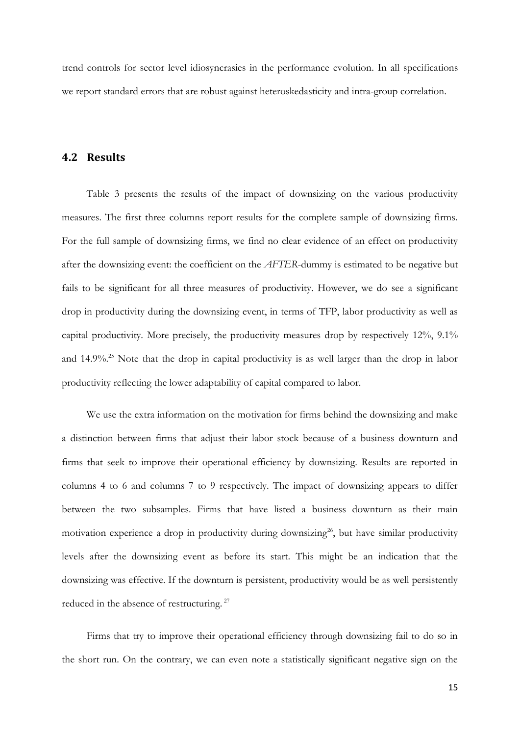trend controls for sector level idiosyncrasies in the performance evolution. In all specifications we report standard errors that are robust against heteroskedasticity and intra-group correlation.

#### **4.2 Results**

[Table 3](#page-15-0) presents the results of the impact of downsizing on the various productivity measures. The first three columns report results for the complete sample of downsizing firms. For the full sample of downsizing firms, we find no clear evidence of an effect on productivity after the downsizing event: the coefficient on the *AFTER*-dummy is estimated to be negative but fails to be significant for all three measures of productivity. However, we do see a significant drop in productivity during the downsizing event, in terms of TFP, labor productivity as well as capital productivity. More precisely, the productivity measures drop by respectively 12%, 9.1% and 14.9%.<sup>25</sup> Note that the drop in capital productivity is as well larger than the drop in labor productivity reflecting the lower adaptability of capital compared to labor.

We use the extra information on the motivation for firms behind the downsizing and make a distinction between firms that adjust their labor stock because of a business downturn and firms that seek to improve their operational efficiency by downsizing. Results are reported in columns 4 to 6 and columns 7 to 9 respectively. The impact of downsizing appears to differ between the two subsamples. Firms that have listed a business downturn as their main motivation experience a drop in productivity during downsizing<sup>26</sup>, but have similar productivity levels after the downsizing event as before its start. This might be an indication that the downsizing was effective. If the downturn is persistent, productivity would be as well persistently reduced in the absence of restructuring.<sup>27</sup>

Firms that try to improve their operational efficiency through downsizing fail to do so in the short run. On the contrary, we can even note a statistically significant negative sign on the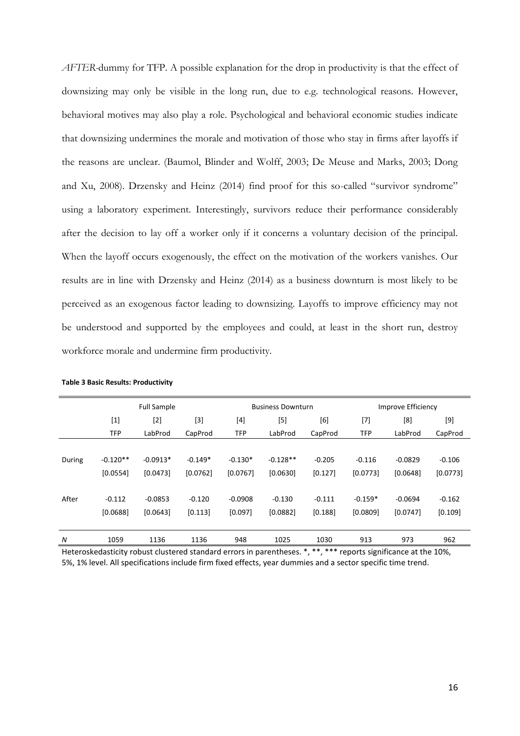*AFTER-*dummy for TFP. A possible explanation for the drop in productivity is that the effect of downsizing may only be visible in the long run, due to e.g. technological reasons. However, behavioral motives may also play a role. Psychological and behavioral economic studies indicate that downsizing undermines the morale and motivation of those who stay in firms after layoffs if the reasons are unclear. (Baumol, Blinder and Wolff, 2003; De Meuse and Marks, 2003; Dong and Xu, 2008). Drzensky and Heinz (2014) find proof for this so-called "survivor syndrome" using a laboratory experiment. Interestingly, survivors reduce their performance considerably after the decision to lay off a worker only if it concerns a voluntary decision of the principal. When the layoff occurs exogenously, the effect on the motivation of the workers vanishes. Our results are in line with Drzensky and Heinz (2014) as a business downturn is most likely to be perceived as an exogenous factor leading to downsizing. Layoffs to improve efficiency may not be understood and supported by the employees and could, at least in the short run, destroy workforce morale and undermine firm productivity.

|        |            | <b>Full Sample</b> |           |            | <b>Business Downturn</b> |          | Improve Efficiency |           |          |
|--------|------------|--------------------|-----------|------------|--------------------------|----------|--------------------|-----------|----------|
|        | $[1]$      | $[2]$              | $[3]$     | [4]        | $[5]$                    | [6]      | $[7]$              | [8]       | [9]      |
|        | <b>TFP</b> | LabProd            | CapProd   | <b>TFP</b> | LabProd                  | CapProd  | <b>TFP</b>         | LabProd   | CapProd  |
|        |            |                    |           |            |                          |          |                    |           |          |
| During | $-0.120**$ | $-0.0913*$         | $-0.149*$ | $-0.130*$  | $-0.128**$               | $-0.205$ | $-0.116$           | $-0.0829$ | $-0.106$ |
|        | [0.0554]   | [0.0473]           | [0.0762]  | [0.0767]   | [0.0630]                 | [0.127]  | [0.0773]           | [0.0648]  | [0.0773] |
|        |            |                    |           |            |                          |          |                    |           |          |
| After  | $-0.112$   | $-0.0853$          | $-0.120$  | $-0.0908$  | $-0.130$                 | $-0.111$ | $-0.159*$          | $-0.0694$ | $-0.162$ |
|        | [0.0688]   | [0.0643]           | [0.113]   | [0.097]    | [0.0882]                 | [0.188]  | [0.0809]           | [0.0747]  | [0.109]  |
|        |            |                    |           |            |                          |          |                    |           |          |
| N      | 1059       | 1136               | 1136      | 948        | 1025                     | 1030     | 913                | 973       | 962      |

<span id="page-15-0"></span>

Heteroskedasticity robust clustered standard errors in parentheses. \*, \*\*, \*\*\* reports significance at the 10%, 5%, 1% level. All specifications include firm fixed effects, year dummies and a sector specific time trend.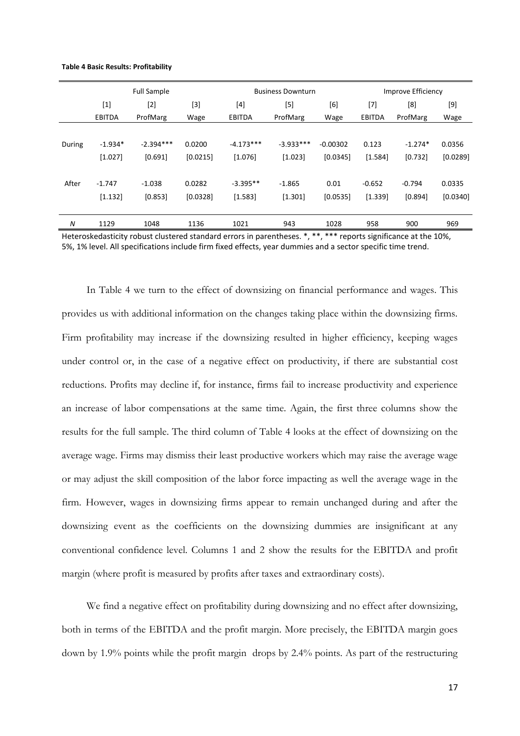<span id="page-16-0"></span>

|  |  | <b>Table 4 Basic Results: Profitability</b> |  |  |
|--|--|---------------------------------------------|--|--|
|--|--|---------------------------------------------|--|--|

|        |               | <b>Full Sample</b> |          |               | <b>Business Downturn</b> |            | Improve Efficiency |           |          |  |
|--------|---------------|--------------------|----------|---------------|--------------------------|------------|--------------------|-----------|----------|--|
|        | $[1]$         | $[2]$              | [3]      | [4]           | [5]                      | [6]        | $[7]$              | [8]       | [9]      |  |
|        | <b>EBITDA</b> | ProfMarg           | Wage     | <b>EBITDA</b> | ProfMarg                 | Wage       | EBITDA             | ProfMarg  | Wage     |  |
|        |               |                    |          |               |                          |            |                    |           |          |  |
| During | $-1.934*$     | $-2.394***$        | 0.0200   | $-4.173***$   | $-3.933***$              | $-0.00302$ | 0.123              | $-1.274*$ | 0.0356   |  |
|        | [1.027]       | [0.691]            | [0.0215] | [1.076]       | [1.023]                  | [0.0345]   | [1.584]            | [0.732]   | [0.0289] |  |
|        |               |                    |          |               |                          |            |                    |           |          |  |
| After  | $-1.747$      | $-1.038$           | 0.0282   | $-3.395**$    | $-1.865$                 | 0.01       | $-0.652$           | $-0.794$  | 0.0335   |  |
|        | [1.132]       | [0.853]            | [0.0328] | [1.583]       | [1.301]                  | [0.0535]   | [1.339]            | [0.894]   | [0.0340] |  |
|        |               |                    |          |               |                          |            |                    |           |          |  |
| N      | 1129          | 1048               | 1136     | 1021          | 943                      | 1028       | 958                | 900       | 969      |  |

Heteroskedasticity robust clustered standard errors in parentheses. \*, \*\*, \*\*\* reports significance at the 10%, 5%, 1% level. All specifications include firm fixed effects, year dummies and a sector specific time trend.

In [Table 4](#page-16-0) we turn to the effect of downsizing on financial performance and wages. This provides us with additional information on the changes taking place within the downsizing firms. Firm profitability may increase if the downsizing resulted in higher efficiency, keeping wages under control or, in the case of a negative effect on productivity, if there are substantial cost reductions. Profits may decline if, for instance, firms fail to increase productivity and experience an increase of labor compensations at the same time. Again, the first three columns show the results for the full sample. The third column of [Table 4](#page-16-0) looks at the effect of downsizing on the average wage. Firms may dismiss their least productive workers which may raise the average wage or may adjust the skill composition of the labor force impacting as well the average wage in the firm. However, wages in downsizing firms appear to remain unchanged during and after the downsizing event as the coefficients on the downsizing dummies are insignificant at any conventional confidence level. Columns 1 and 2 show the results for the EBITDA and profit margin (where profit is measured by profits after taxes and extraordinary costs).

We find a negative effect on profitability during downsizing and no effect after downsizing, both in terms of the EBITDA and the profit margin. More precisely, the EBITDA margin goes down by 1.9% points while the profit margin drops by 2.4% points. As part of the restructuring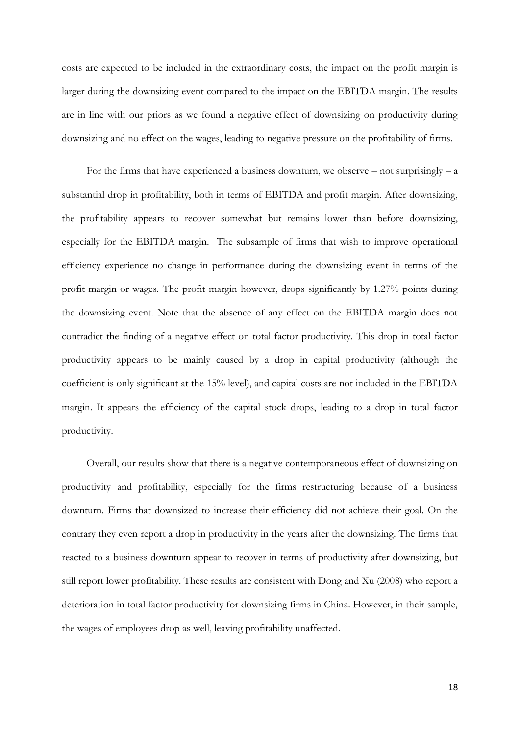costs are expected to be included in the extraordinary costs, the impact on the profit margin is larger during the downsizing event compared to the impact on the EBITDA margin. The results are in line with our priors as we found a negative effect of downsizing on productivity during downsizing and no effect on the wages, leading to negative pressure on the profitability of firms.

For the firms that have experienced a business downturn, we observe – not surprisingly – a substantial drop in profitability, both in terms of EBITDA and profit margin. After downsizing, the profitability appears to recover somewhat but remains lower than before downsizing, especially for the EBITDA margin. The subsample of firms that wish to improve operational efficiency experience no change in performance during the downsizing event in terms of the profit margin or wages. The profit margin however, drops significantly by 1.27% points during the downsizing event. Note that the absence of any effect on the EBITDA margin does not contradict the finding of a negative effect on total factor productivity. This drop in total factor productivity appears to be mainly caused by a drop in capital productivity (although the coefficient is only significant at the 15% level), and capital costs are not included in the EBITDA margin. It appears the efficiency of the capital stock drops, leading to a drop in total factor productivity.

Overall, our results show that there is a negative contemporaneous effect of downsizing on productivity and profitability, especially for the firms restructuring because of a business downturn. Firms that downsized to increase their efficiency did not achieve their goal. On the contrary they even report a drop in productivity in the years after the downsizing. The firms that reacted to a business downturn appear to recover in terms of productivity after downsizing, but still report lower profitability. These results are consistent with Dong and Xu (2008) who report a deterioration in total factor productivity for downsizing firms in China. However, in their sample, the wages of employees drop as well, leaving profitability unaffected.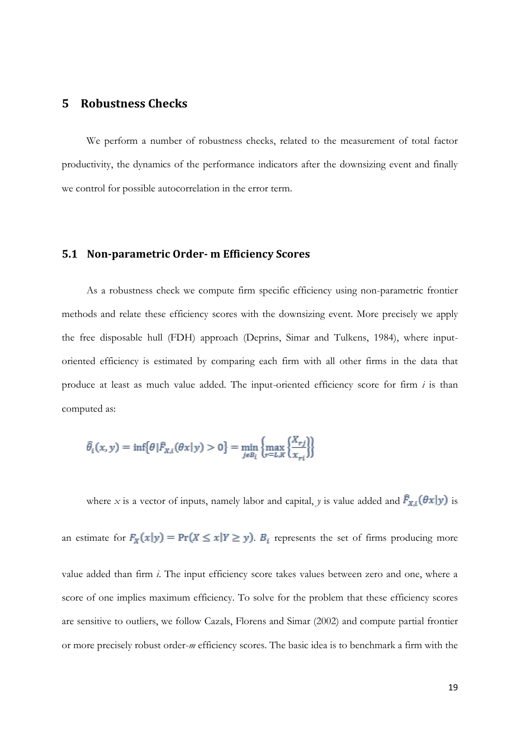## **5 Robustness Checks**

We perform a number of robustness checks, related to the measurement of total factor productivity, the dynamics of the performance indicators after the downsizing event and finally we control for possible autocorrelation in the error term.

#### **5.1 Non-parametric Order- m Efficiency Scores**

As a robustness check we compute firm specific efficiency using non-parametric frontier methods and relate these efficiency scores with the downsizing event. More precisely we apply the free disposable hull (FDH) approach (Deprins, Simar and Tulkens, 1984), where inputoriented efficiency is estimated by comparing each firm with all other firms in the data that produce at least as much value added. The input-oriented efficiency score for firm  $i$  is than computed as:

$$
\widehat{\theta}_i(x, y) = \inf \{ \theta | \widehat{F}_{X,i}(\theta x | y) > 0 \} = \min_{j \in B_i} \{ \max_{r \in L, K} \{ \frac{X_{rj}}{X_{ri}} \} \}
$$

where *x* is a vector of inputs, namely labor and capital, *y* is value added and  $\hat{F}_{X,i}(\theta x|y)$  is

an estimate for  $F_X(x|y) = Pr(X \le x | Y \ge y)$ .  $B_i$  represents the set of firms producing more

value added than firm *i*. The input efficiency score takes values between zero and one, where a score of one implies maximum efficiency. To solve for the problem that these efficiency scores are sensitive to outliers, we follow Cazals, Florens and Simar (2002) and compute partial frontier or more precisely robust order-*m* efficiency scores. The basic idea is to benchmark a firm with the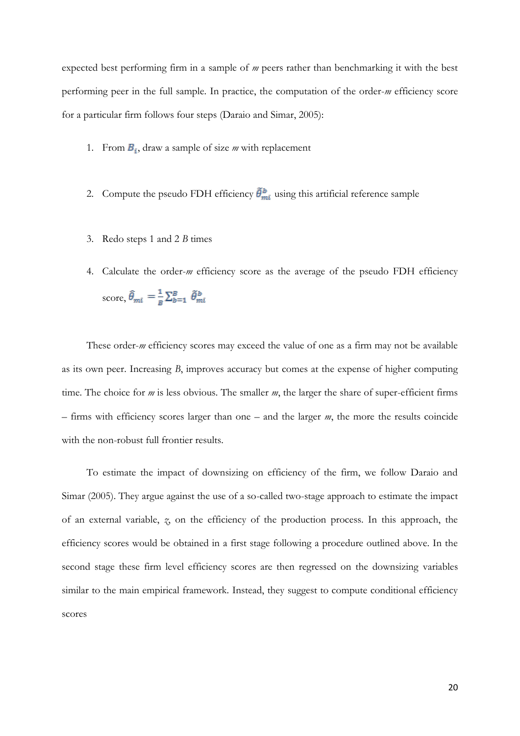expected best performing firm in a sample of *m* peers rather than benchmarking it with the best performing peer in the full sample. In practice, the computation of the order-*m* efficiency score for a particular firm follows four steps (Daraio and Simar, 2005):

- 1. From  $B_i$ , draw a sample of size *m* with replacement
- 2. Compute the pseudo FDH efficiency  $\tilde{\theta}^b_{mi}$  using this artificial reference sample
- 3. Redo steps 1 and 2 *B* times
- 4. Calculate the order-*m* efficiency score as the average of the pseudo FDH efficiency score,  $\hat{\theta}_{mi} = \frac{1}{B} \sum_{b=1}^{B} \tilde{\theta}_{mi}^{b}$

These order-*m* efficiency scores may exceed the value of one as a firm may not be available as its own peer. Increasing *B*, improves accuracy but comes at the expense of higher computing time. The choice for *m* is less obvious. The smaller *m*, the larger the share of super-efficient firms – firms with efficiency scores larger than one – and the larger *m*, the more the results coincide with the non-robust full frontier results.

To estimate the impact of downsizing on efficiency of the firm, we follow Daraio and Simar (2005). They argue against the use of a so-called two-stage approach to estimate the impact of an external variable, *z*, on the efficiency of the production process. In this approach, the efficiency scores would be obtained in a first stage following a procedure outlined above. In the second stage these firm level efficiency scores are then regressed on the downsizing variables similar to the main empirical framework. Instead, they suggest to compute conditional efficiency scores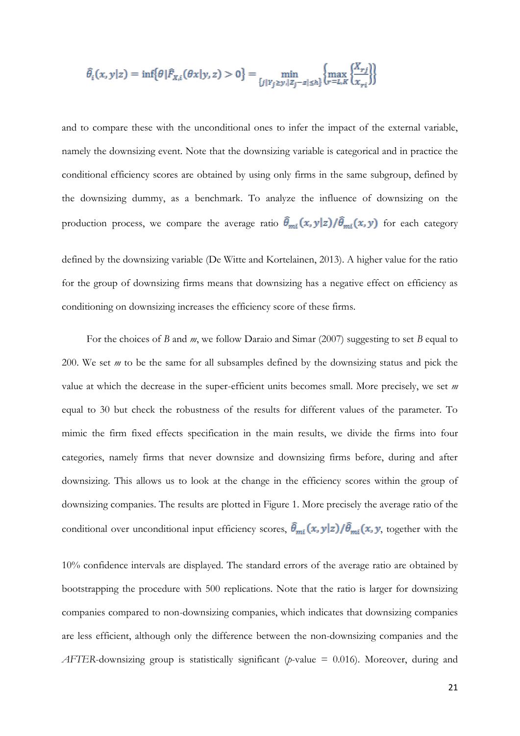$$
\hat{\theta}_i(x, y|z) = \inf \{ \theta | \hat{F}_{X,i}(\theta x | y, z) > 0 \} = \min_{\{j | Y_j \ge y, |Z_j - z| \le h \}} \left\{ \max_{r=L, K} \frac{X_{rj}}{X_{ri}} \right\}
$$

and to compare these with the unconditional ones to infer the impact of the external variable, namely the downsizing event. Note that the downsizing variable is categorical and in practice the conditional efficiency scores are obtained by using only firms in the same subgroup, defined by the downsizing dummy, as a benchmark. To analyze the influence of downsizing on the production process, we compare the average ratio  $\hat{\theta}_{mi}(x, y|z)/\hat{\theta}_{mi}(x, y)$  for each category

defined by the downsizing variable (De Witte and Kortelainen, 2013). A higher value for the ratio for the group of downsizing firms means that downsizing has a negative effect on efficiency as conditioning on downsizing increases the efficiency score of these firms.

For the choices of *B* and *m*, we follow Daraio and Simar (2007) suggesting to set *B* equal to 200. We set *m* to be the same for all subsamples defined by the downsizing status and pick the value at which the decrease in the super-efficient units becomes small. More precisely, we set *m* equal to 30 but check the robustness of the results for different values of the parameter. To mimic the firm fixed effects specification in the main results, we divide the firms into four categories, namely firms that never downsize and downsizing firms before, during and after downsizing. This allows us to look at the change in the efficiency scores within the group of downsizing companies. The results are plotted in [Figure 1.](#page-21-0) More precisely the average ratio of the conditional over unconditional input efficiency scores,  $\hat{\theta}_{mi}(x, y|z)/\hat{\theta}_{mi}(x, y)$ , together with the

10% confidence intervals are displayed. The standard errors of the average ratio are obtained by bootstrapping the procedure with 500 replications. Note that the ratio is larger for downsizing companies compared to non-downsizing companies, which indicates that downsizing companies are less efficient, although only the difference between the non-downsizing companies and the *AFTER*-downsizing group is statistically significant (*p*-value = 0.016). Moreover, during and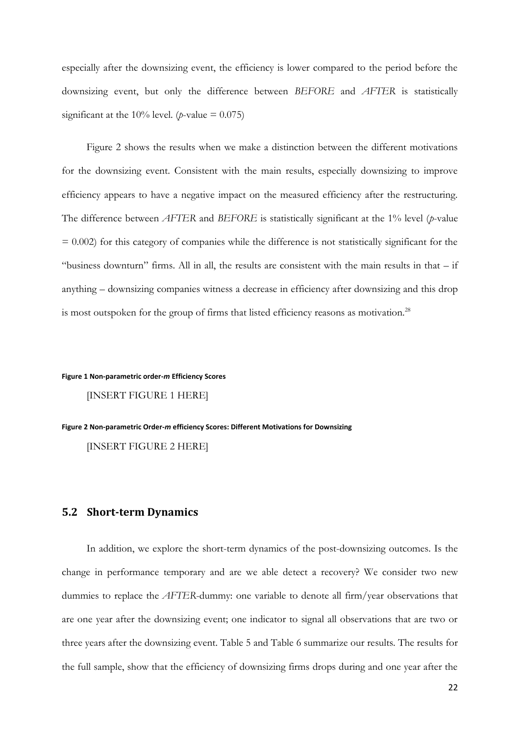especially after the downsizing event, the efficiency is lower compared to the period before the downsizing event, but only the difference between *BEFORE* and *AFTER* is statistically significant at the 10% level. ( $p$ -value = 0.075)

[Figure 2](#page-21-1) shows the results when we make a distinction between the different motivations for the downsizing event. Consistent with the main results, especially downsizing to improve efficiency appears to have a negative impact on the measured efficiency after the restructuring. The difference between *AFTER* and *BEFORE* is statistically significant at the 1% level (*p*-value  $= 0.002$ ) for this category of companies while the difference is not statistically significant for the "business downturn" firms. All in all, the results are consistent with the main results in that – if anything – downsizing companies witness a decrease in efficiency after downsizing and this drop is most outspoken for the group of firms that listed efficiency reasons as motivation.<sup>28</sup>

#### <span id="page-21-0"></span>**Figure 1 Non-parametric order-***m* **Efficiency Scores**

[INSERT FIGURE 1 HERE]

#### <span id="page-21-1"></span>**Figure 2 Non-parametric Order-***m* **efficiency Scores: Different Motivations for Downsizing**

[INSERT FIGURE 2 HERE]

#### **5.2 Short-term Dynamics**

In addition, we explore the short-term dynamics of the post-downsizing outcomes. Is the change in performance temporary and are we able detect a recovery? We consider two new dummies to replace the *AFTER*-dummy: one variable to denote all firm/year observations that are one year after the downsizing event; one indicator to signal all observations that are two or three years after the downsizing event. [Table 5](#page-23-0) and [Table 6](#page-23-1) summarize our results. The results for the full sample, show that the efficiency of downsizing firms drops during and one year after the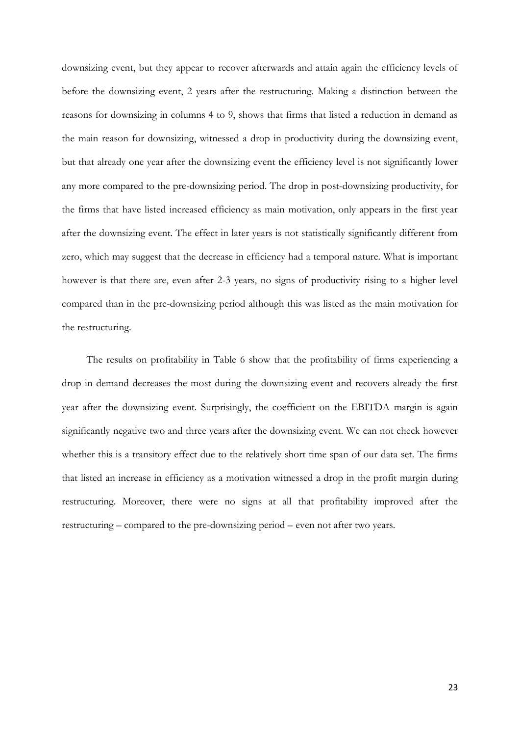downsizing event, but they appear to recover afterwards and attain again the efficiency levels of before the downsizing event, 2 years after the restructuring. Making a distinction between the reasons for downsizing in columns 4 to 9, shows that firms that listed a reduction in demand as the main reason for downsizing, witnessed a drop in productivity during the downsizing event, but that already one year after the downsizing event the efficiency level is not significantly lower any more compared to the pre-downsizing period. The drop in post-downsizing productivity, for the firms that have listed increased efficiency as main motivation, only appears in the first year after the downsizing event. The effect in later years is not statistically significantly different from zero, which may suggest that the decrease in efficiency had a temporal nature. What is important however is that there are, even after 2-3 years, no signs of productivity rising to a higher level compared than in the pre-downsizing period although this was listed as the main motivation for the restructuring.

The results on profitability in [Table 6](#page-23-1) show that the profitability of firms experiencing a drop in demand decreases the most during the downsizing event and recovers already the first year after the downsizing event. Surprisingly, the coefficient on the EBITDA margin is again significantly negative two and three years after the downsizing event. We can not check however whether this is a transitory effect due to the relatively short time span of our data set. The firms that listed an increase in efficiency as a motivation witnessed a drop in the profit margin during restructuring. Moreover, there were no signs at all that profitability improved after the restructuring – compared to the pre-downsizing period – even not after two years.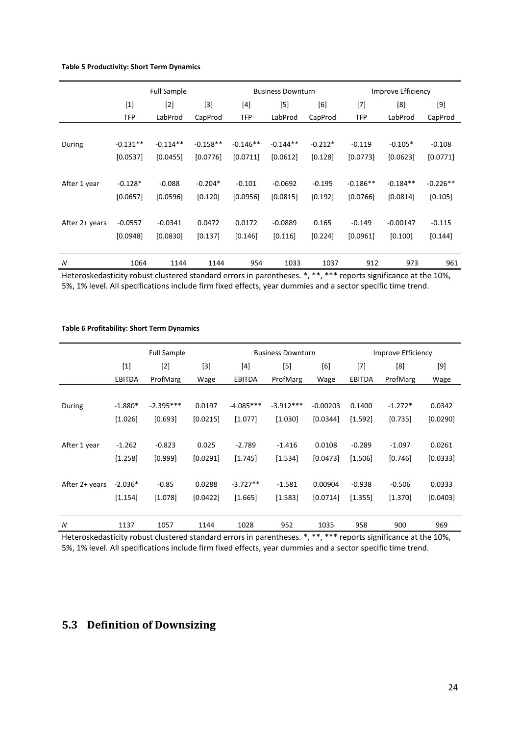#### <span id="page-23-0"></span>**Table 5 Productivity: Short Term Dynamics**

|                | <b>Full Sample</b> |                |            |            | <b>Business Downturn</b>                                                                                                                                            |           |            | Improve Efficiency |            |
|----------------|--------------------|----------------|------------|------------|---------------------------------------------------------------------------------------------------------------------------------------------------------------------|-----------|------------|--------------------|------------|
|                | $[1]$              | $[3]$<br>$[2]$ |            | $[4]$      | $[5] % \includegraphics[width=0.9\columnwidth]{figures/fig_10.pdf} \caption{Schematic diagram of the top of the top of the top of the right.} \label{fig:fig:time}$ | [6]       | $[7]$      | [8]                | $[9]$      |
|                | TFP                | LabProd        | CapProd    | TFP        | LabProd                                                                                                                                                             | CapProd   | <b>TFP</b> | LabProd            | CapProd    |
|                |                    |                |            |            |                                                                                                                                                                     |           |            |                    |            |
| During         | $-0.131**$         | $-0.114**$     | $-0.158**$ | $-0.146**$ | $-0.144**$                                                                                                                                                          | $-0.212*$ | $-0.119$   | $-0.105*$          | $-0.108$   |
|                | [0.0537]           | [0.0455]       | [0.0776]   | [0.0711]   | [0.0612]                                                                                                                                                            | [0.128]   | [0.0773]   | [0.0623]           | [0.0771]   |
|                |                    |                |            |            |                                                                                                                                                                     |           |            |                    |            |
| After 1 year   | $-0.128*$          | $-0.088$       | $-0.204*$  | $-0.101$   | $-0.0692$                                                                                                                                                           | $-0.195$  | $-0.186**$ | $-0.184**$         | $-0.226**$ |
|                | [0.0657]           | [0.0596]       | [0.120]    | [0.0956]   | [0.0815]                                                                                                                                                            | $[0.192]$ | [0.0766]   | [0.0814]           | [0.105]    |
|                |                    |                |            |            |                                                                                                                                                                     |           |            |                    |            |
| After 2+ years | $-0.0557$          | $-0.0341$      | 0.0472     | 0.0172     | $-0.0889$                                                                                                                                                           | 0.165     | $-0.149$   | $-0.00147$         | $-0.115$   |
|                | [0.0948]           | [0.0830]       | [0.137]    | [0.146]    | [0.116]                                                                                                                                                             | [0.224]   | [0.0961]   | [0.100]            | [0.144]    |
|                |                    |                |            |            |                                                                                                                                                                     |           |            |                    |            |
| N              | 1064               | 1144           | 1144       | 954        | 1033                                                                                                                                                                | 1037      | 912        | 973                | 961        |

Heteroskedasticity robust clustered standard errors in parentheses. \*, \*\*, \*\*\* reports significance at the 10%, 5%, 1% level. All specifications include firm fixed effects, year dummies and a sector specific time trend.

<span id="page-23-1"></span>**Table 6 Profitability: Short Term Dynamics**

|                |               | <b>Full Sample</b> |          |             | <b>Business Downturn</b> |            | Improve Efficiency |           |          |
|----------------|---------------|--------------------|----------|-------------|--------------------------|------------|--------------------|-----------|----------|
|                | $[1]$         | $[2]$              | $[3]$    | [4]         | $[5]$                    | [6]        | $[7]$              | [8]       | $[9]$    |
|                | <b>EBITDA</b> | ProfMarg           | Wage     | EBITDA      | ProfMarg                 | Wage       | EBITDA             | ProfMarg  | Wage     |
|                |               |                    |          |             |                          |            |                    |           |          |
| During         | $-1.880*$     | $-2.395***$        | 0.0197   | $-4.085***$ | $-3.912***$              | $-0.00203$ | 0.1400             | $-1.272*$ | 0.0342   |
|                | [1.026]       | [0.693]            | [0.0215] | [1.077]     | [1.030]                  | [0.0344]   | [1.592]            | [0.735]   | [0.0290] |
|                |               |                    |          |             |                          |            |                    |           |          |
| After 1 year   | $-1.262$      | $-0.823$           | 0.025    | $-2.789$    | $-1.416$                 | 0.0108     | $-0.289$           | $-1.097$  | 0.0261   |
|                | [1.258]       | [0.999]            | [0.0291] | [1.745]     | [1.534]                  | [0.0473]   | [1.506]            | [0.746]   | [0.0333] |
|                |               |                    |          |             |                          |            |                    |           |          |
| After 2+ years | $-2.036*$     | $-0.85$            | 0.0288   | $-3.727**$  | $-1.581$                 | 0.00904    | $-0.938$           | $-0.506$  | 0.0333   |
|                | [1.154]       | [1.078]            | [0.0422] | [1.665]     | [1.583]                  | [0.0714]   | [1.355]            | $[1.370]$ | [0.0403] |
|                |               |                    |          |             |                          |            |                    |           |          |
| N              | 1137          | 1057               | 1144     | 1028        | 952                      | 1035       | 958                | 900       | 969      |

Heteroskedasticity robust clustered standard errors in parentheses. \*, \*\*, \*\*\* reports significance at the 10%, 5%, 1% level. All specifications include firm fixed effects, year dummies and a sector specific time trend.

## **5.3 Definition of Downsizing**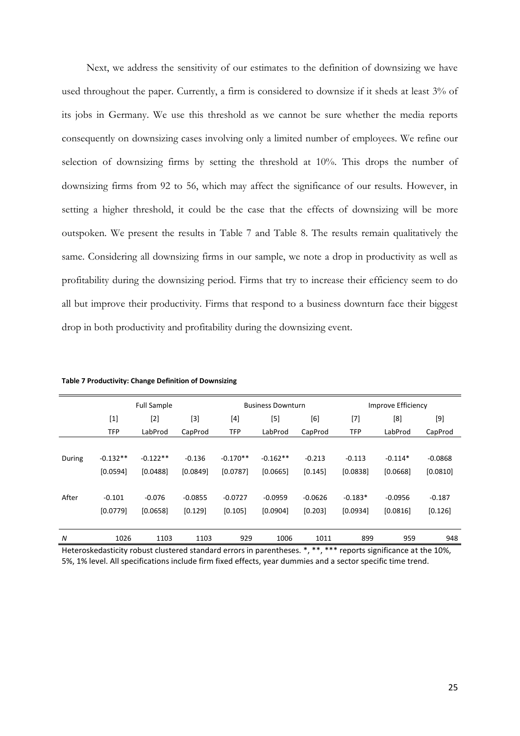Next, we address the sensitivity of our estimates to the definition of downsizing we have used throughout the paper. Currently, a firm is considered to downsize if it sheds at least 3% of its jobs in Germany. We use this threshold as we cannot be sure whether the media reports consequently on downsizing cases involving only a limited number of employees. We refine our selection of downsizing firms by setting the threshold at 10%. This drops the number of downsizing firms from 92 to 56, which may affect the significance of our results. However, in setting a higher threshold, it could be the case that the effects of downsizing will be more outspoken. We present the results in [Table 7](#page-24-0) and [Table 8.](#page-25-0) The results remain qualitatively the same. Considering all downsizing firms in our sample, we note a drop in productivity as well as profitability during the downsizing period. Firms that try to increase their efficiency seem to do all but improve their productivity. Firms that respond to a business downturn face their biggest drop in both productivity and profitability during the downsizing event.

|          |            | <b>Full Sample</b> |                                                                                                                                                            |            | <b>Business Downturn</b> |                             |            | Improve Efficiency |           |
|----------|------------|--------------------|------------------------------------------------------------------------------------------------------------------------------------------------------------|------------|--------------------------|-----------------------------|------------|--------------------|-----------|
|          | $[1]$      | $[2]$              | $[3] % \includegraphics[width=0.9\columnwidth]{figures/fig_1a} \caption{Schematic diagram of the top of the top of the top of the right.} \label{fig:1} %$ | [4]        | [5]                      | [6]                         | [7]        | [8]                | [9]       |
|          | <b>TFP</b> | LabProd            | CapProd                                                                                                                                                    | <b>TFP</b> | LabProd                  | CapProd                     | <b>TFP</b> | LabProd            | CapProd   |
|          |            |                    |                                                                                                                                                            |            |                          |                             |            |                    |           |
| During   | $-0.132**$ | $-0.122**$         | $-0.136$                                                                                                                                                   | $-0.170**$ | $-0.162**$               | $-0.213$                    | $-0.113$   | $-0.114*$          | $-0.0868$ |
|          | [0.0594]   | [0.0488]           | [0.0849]                                                                                                                                                   | [0.0787]   | [0.0665]                 | [0.145]                     | [0.0838]   | [0.0668]           | [0.0810]  |
|          |            |                    |                                                                                                                                                            |            |                          |                             |            |                    |           |
| After    | $-0.101$   | $-0.076$           | $-0.0855$                                                                                                                                                  | $-0.0727$  | $-0.0959$                | $-0.0626$                   | $-0.183*$  | $-0.0956$          | $-0.187$  |
|          | [0.0779]   | [0.0658]           | [0.129]                                                                                                                                                    | [0.105]    | [0.0904]                 | [0.203]                     | [0.0934]   | [0.0816]           | [0.126]   |
|          |            |                    |                                                                                                                                                            |            |                          |                             |            |                    |           |
| N        | 1026       | 1103               | 1103                                                                                                                                                       | 929        | 1006                     | 1011                        | 899        | 959                | 948       |
| $\cdots$ |            |                    |                                                                                                                                                            |            |                          | والمتعارض والمتعارض والمراد |            |                    |           |

<span id="page-24-0"></span>**Table 7 Productivity: Change Definition of Downsizing**

Heteroskedasticity robust clustered standard errors in parentheses. \*, \*\*, \*\*\* reports significance at the 10%, 5%, 1% level. All specifications include firm fixed effects, year dummies and a sector specific time trend.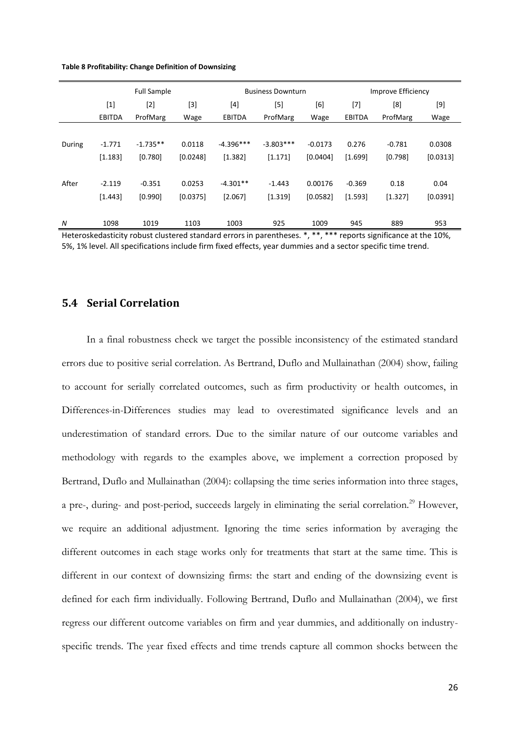<span id="page-25-0"></span>

| Table 8 Profitability: Change Definition of Downsizing |  |  |  |  |
|--------------------------------------------------------|--|--|--|--|
|--------------------------------------------------------|--|--|--|--|

|        | <b>Full Sample</b> |            |          |               | <b>Business Downturn</b> |           | Improve Efficiency |          |          |  |
|--------|--------------------|------------|----------|---------------|--------------------------|-----------|--------------------|----------|----------|--|
|        | $[1]$              | $[2]$      | [3]      | [4]           | $[5]$                    | [6]       | $^{[7]}$           | [8]      | $[9]$    |  |
|        | <b>EBITDA</b>      | ProfMarg   | Wage     | <b>EBITDA</b> | ProfMarg                 | Wage      | <b>EBITDA</b>      | ProfMarg | Wage     |  |
|        |                    |            |          |               |                          |           |                    |          |          |  |
| During | $-1.771$           | $-1.735**$ | 0.0118   | $-4.396***$   | $-3.803***$              | $-0.0173$ | 0.276              | $-0.781$ | 0.0308   |  |
|        | [1.183]            | [0.780]    | [0.0248] | [1.382]       | [1.171]                  | [0.0404]  | [1.699]            | [0.798]  | [0.0313] |  |
|        |                    |            |          |               |                          |           |                    |          |          |  |
| After  | $-2.119$           | $-0.351$   | 0.0253   | $-4.301**$    | $-1.443$                 | 0.00176   | $-0.369$           | 0.18     | 0.04     |  |
|        | [1.443]            | [0.990]    | [0.0375] | [2.067]       | [1.319]                  | [0.0582]  | [1.593]            | [1.327]  | [0.0391] |  |
|        |                    |            |          |               |                          |           |                    |          |          |  |
| N      | 1098               | 1019       | 1103     | 1003          | 925                      | 1009      | 945                | 889      | 953      |  |

Heteroskedasticity robust clustered standard errors in parentheses. \*, \*\*, \*\*\* reports significance at the 10%, 5%, 1% level. All specifications include firm fixed effects, year dummies and a sector specific time trend.

## **5.4 Serial Correlation**

In a final robustness check we target the possible inconsistency of the estimated standard errors due to positive serial correlation. As Bertrand, Duflo and Mullainathan (2004) show, failing to account for serially correlated outcomes, such as firm productivity or health outcomes, in Differences-in-Differences studies may lead to overestimated significance levels and an underestimation of standard errors. Due to the similar nature of our outcome variables and methodology with regards to the examples above, we implement a correction proposed by Bertrand, Duflo and Mullainathan (2004): collapsing the time series information into three stages, a pre-, during- and post-period, succeeds largely in eliminating the serial correlation.<sup>29</sup> However, we require an additional adjustment. Ignoring the time series information by averaging the different outcomes in each stage works only for treatments that start at the same time. This is different in our context of downsizing firms: the start and ending of the downsizing event is defined for each firm individually. Following Bertrand, Duflo and Mullainathan (2004), we first regress our different outcome variables on firm and year dummies, and additionally on industryspecific trends. The year fixed effects and time trends capture all common shocks between the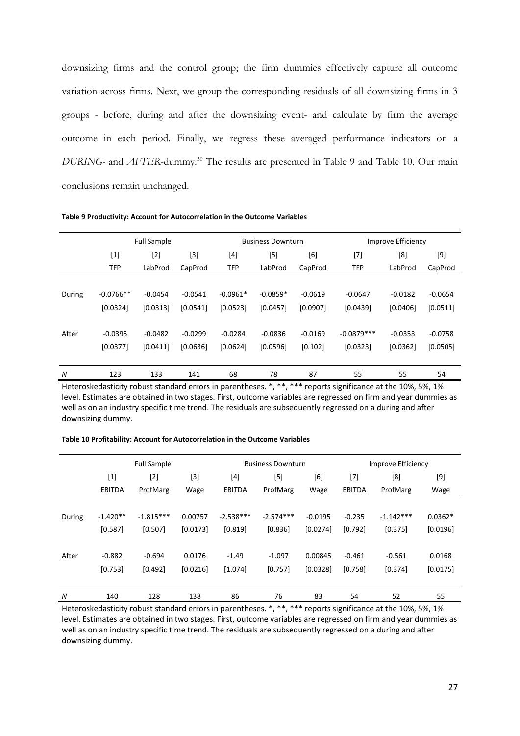downsizing firms and the control group; the firm dummies effectively capture all outcome variation across firms. Next, we group the corresponding residuals of all downsizing firms in 3 groups - before, during and after the downsizing event- and calculate by firm the average outcome in each period. Finally, we regress these averaged performance indicators on a *DURING-* and *AFTER*-dummy.<sup>30</sup> The results are presented in [Table 9](#page-26-0) and [Table 10.](#page-26-1) Our main conclusions remain unchanged.

|        |                  | <b>Full Sample</b> |           |                   | <b>Business Downturn</b> |           | Improve Efficiency |           |           |
|--------|------------------|--------------------|-----------|-------------------|--------------------------|-----------|--------------------|-----------|-----------|
|        | $\left[1\right]$ | $[2]$<br>$[3]$     |           | [5]<br>[4]<br>[6] |                          | [7]       | [8]                | $[9]$     |           |
|        | <b>TFP</b>       | LabProd            | CapProd   | <b>TFP</b>        | LabProd                  | CapProd   | <b>TFP</b>         | LabProd   | CapProd   |
|        |                  |                    |           |                   |                          |           |                    |           |           |
| During | $-0.0766**$      | $-0.0454$          | $-0.0541$ | $-0.0961*$        | $-0.0859*$               | $-0.0619$ | $-0.0647$          | $-0.0182$ | $-0.0654$ |
|        | [0.0324]         | [0.0313]           | [0.0541]  | [0.0523]          | [0.0457]                 | [0.0907]  | [0.0439]           | [0.0406]  | [0.0511]  |
|        |                  |                    |           |                   |                          |           |                    |           |           |
| After  | $-0.0395$        | $-0.0482$          | $-0.0299$ | $-0.0284$         | $-0.0836$                | $-0.0169$ | $-0.0879***$       | $-0.0353$ | $-0.0758$ |
|        | [0.0377]         | [0.0411]           | [0.0636]  | [0.0624]          | [0.0596]                 | [0.102]   | [0.0323]           | [0.0362]  | [0.0505]  |
|        |                  |                    |           |                   |                          |           |                    |           |           |
| N      | 123              | 133                | 141       | 68                | 78                       | 87        | 55                 | 55        | 54        |

<span id="page-26-0"></span>**Table 9 Productivity: Account for Autocorrelation in the Outcome Variables**

Heteroskedasticity robust standard errors in parentheses. \*, \*\*, \*\*\* reports significance at the 10%, 5%, 1% level. Estimates are obtained in two stages. First, outcome variables are regressed on firm and year dummies as well as on an industry specific time trend. The residuals are subsequently regressed on a during and after downsizing dummy.

|        | <b>Full Sample</b> |             |          | <b>Business Downturn</b> |             |           | Improve Efficiency |             |           |
|--------|--------------------|-------------|----------|--------------------------|-------------|-----------|--------------------|-------------|-----------|
|        | $[1]$              | $[2]$       | [3]      | [4]                      | [5]         | [6]       | $[7]$              | [8]         |           |
|        | <b>EBITDA</b>      | ProfMarg    | Wage     | <b>EBITDA</b>            | ProfMarg    | Wage      | <b>EBITDA</b>      | ProfMarg    | Wage      |
|        |                    |             |          |                          |             |           |                    |             |           |
| During | $-1.420**$         | $-1.815***$ | 0.00757  | $-2.538***$              | $-2.574***$ | $-0.0195$ | $-0.235$           | $-1.142***$ | $0.0362*$ |
|        | [0.587]            | [0.507]     | [0.0173] | [0.819]                  | [0.836]     | [0.0274]  | [0.792]            | [0.375]     | [0.0196]  |
|        |                    |             |          |                          |             |           |                    |             |           |
| After  | $-0.882$           | $-0.694$    | 0.0176   | $-1.49$                  | $-1.097$    | 0.00845   | $-0.461$           | $-0.561$    | 0.0168    |
|        | [0.753]            | [0.492]     | [0.0216] | [1.074]                  | [0.757]     | [0.0328]  | [0.758]            | [0.374]     | [0.0175]  |
|        |                    |             |          |                          |             |           |                    |             |           |
| N      | 140                | 128         | 138      | 86                       | 76          | 83        | 54                 | 52          | 55        |

<span id="page-26-1"></span>**Table 10 Profitability: Account for Autocorrelation in the Outcome Variables**

Heteroskedasticity robust standard errors in parentheses. \*, \*\*, \*\*\* reports significance at the 10%, 5%, 1% level. Estimates are obtained in two stages. First, outcome variables are regressed on firm and year dummies as well as on an industry specific time trend. The residuals are subsequently regressed on a during and after downsizing dummy.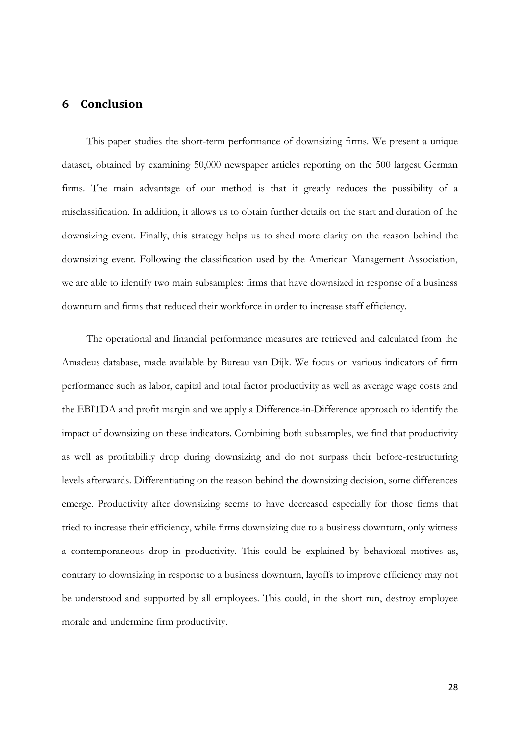## **6 Conclusion**

This paper studies the short-term performance of downsizing firms. We present a unique dataset, obtained by examining 50,000 newspaper articles reporting on the 500 largest German firms. The main advantage of our method is that it greatly reduces the possibility of a misclassification. In addition, it allows us to obtain further details on the start and duration of the downsizing event. Finally, this strategy helps us to shed more clarity on the reason behind the downsizing event. Following the classification used by the American Management Association, we are able to identify two main subsamples: firms that have downsized in response of a business downturn and firms that reduced their workforce in order to increase staff efficiency.

The operational and financial performance measures are retrieved and calculated from the Amadeus database, made available by Bureau van Dijk. We focus on various indicators of firm performance such as labor, capital and total factor productivity as well as average wage costs and the EBITDA and profit margin and we apply a Difference-in-Difference approach to identify the impact of downsizing on these indicators. Combining both subsamples, we find that productivity as well as profitability drop during downsizing and do not surpass their before-restructuring levels afterwards. Differentiating on the reason behind the downsizing decision, some differences emerge. Productivity after downsizing seems to have decreased especially for those firms that tried to increase their efficiency, while firms downsizing due to a business downturn, only witness a contemporaneous drop in productivity. This could be explained by behavioral motives as, contrary to downsizing in response to a business downturn, layoffs to improve efficiency may not be understood and supported by all employees. This could, in the short run, destroy employee morale and undermine firm productivity.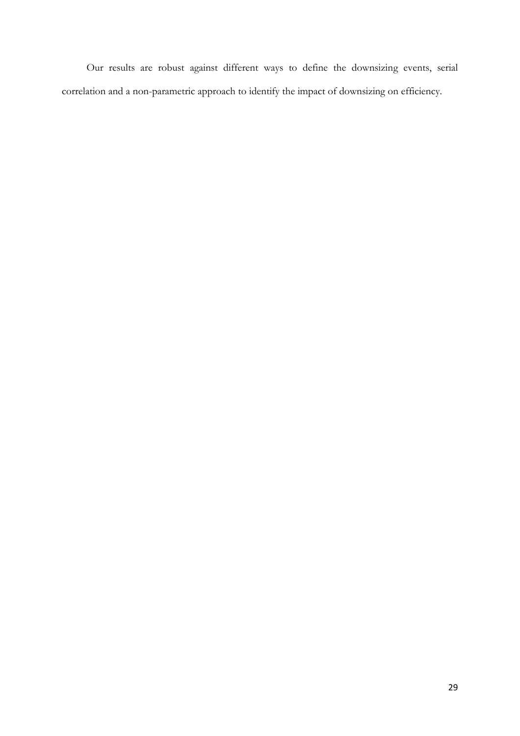Our results are robust against different ways to define the downsizing events, serial correlation and a non-parametric approach to identify the impact of downsizing on efficiency.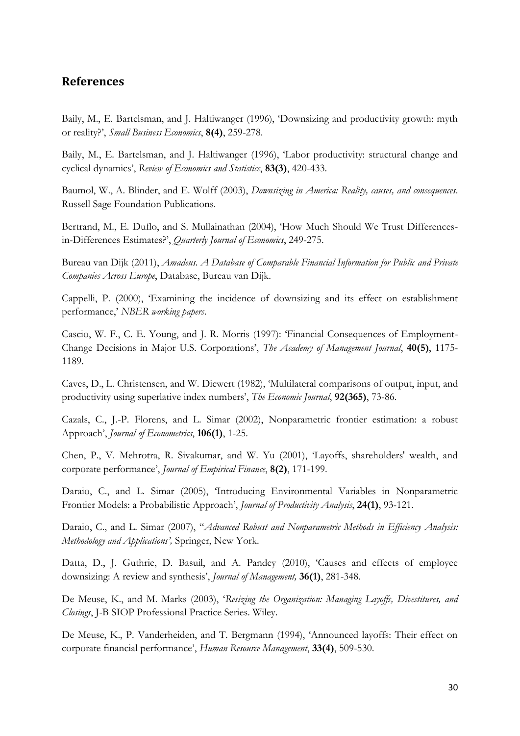## **References**

Baily, M., E. Bartelsman, and J. Haltiwanger (1996), 'Downsizing and productivity growth: myth or reality?', *Small Business Economics*, **8(4)**, 259-278.

Baily, M., E. Bartelsman, and J. Haltiwanger (1996), 'Labor productivity: structural change and cyclical dynamics', *Review of Economics and Statistics*, **83(3)**, 420-433.

Baumol, W., A. Blinder, and E. Wolff (2003), *Downsizing in America: Reality, causes, and consequences*. Russell Sage Foundation Publications.

Bertrand, M., E. Duflo, and S. Mullainathan (2004), 'How Much Should We Trust Differencesin-Differences Estimates?', *Quarterly Journal of Economics*, 249-275.

Bureau van Dijk (2011), *Amadeus. A Database of Comparable Financial Information for Public and Private Companies Across Europe*, Database, Bureau van Dijk.

Cappelli, P. (2000), 'Examining the incidence of downsizing and its effect on establishment performance,' *NBER working papers*.

Cascio, W. F., C. E. Young, and J. R. Morris (1997): 'Financial Consequences of Employment-Change Decisions in Major U.S. Corporations', *The Academy of Management Journal*, **40(5)**, 1175- 1189.

Caves, D., L. Christensen, and W. Diewert (1982), 'Multilateral comparisons of output, input, and productivity using superlative index numbers', *The Economic Journal*, **92(365)**, 73-86.

Cazals, C., J.-P. Florens, and L. Simar (2002), Nonparametric frontier estimation: a robust Approach', *Journal of Econometrics*, **106(1)**, 1-25.

Chen, P., V. Mehrotra, R. Sivakumar, and W. Yu (2001), 'Layoffs, shareholders' wealth, and corporate performance', *Journal of Empirical Finance*, **8(2)**, 171-199.

Daraio, C., and L. Simar (2005), 'Introducing Environmental Variables in Nonparametric Frontier Models: a Probabilistic Approach', *Journal of Productivity Analysis*, **24(1)**, 93-121.

Daraio, C., and L. Simar (2007), "*Advanced Robust and Nonparametric Methods in Efficiency Analysis: Methodology and Applications',* Springer, New York.

Datta, D., J. Guthrie, D. Basuil, and A. Pandey (2010), 'Causes and effects of employee downsizing: A review and synthesis', *Journal of Management,* **36(1)**, 281-348.

De Meuse, K., and M. Marks (2003), '*Resizing the Organization: Managing Layoffs, Divestitures, and Closings*, J-B SIOP Professional Practice Series. Wiley.

De Meuse, K., P. Vanderheiden, and T. Bergmann (1994), 'Announced layoffs: Their effect on corporate financial performance', *Human Resource Management*, **33(4)**, 509-530.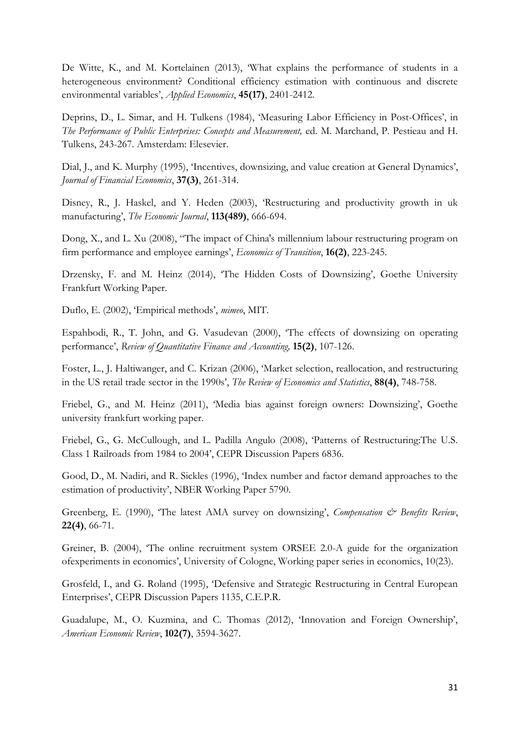De Witte, K., and M. Kortelainen (2013), 'What explains the performance of students in a heterogeneous environment? Conditional efficiency estimation with continuous and discrete environmental variables', *Applied Economics*, **45(17)**, 2401-2412.

Deprins, D., L. Simar, and H. Tulkens (1984), 'Measuring Labor Efficiency in Post-Offices', in *The Performance of Public Enterprises: Concepts and Measurement,* ed. M. Marchand, P. Pestieau and H. Tulkens, 243-267. Amsterdam: Elesevier.

Dial, J., and K. Murphy (1995), 'Incentives, downsizing, and value creation at General Dynamics', *Journal of Financial Economics*, **37(3)**, 261-314.

Disney, R., J. Haskel, and Y. Heden (2003), 'Restructuring and productivity growth in uk manufacturing', *The Economic Journal*, **113(489)**, 666-694.

Dong, X., and L. Xu (2008), "The impact of China's millennium labour restructuring program on firm performance and employee earnings', *Economics of Transition*, **16(2)**, 223-245.

Drzensky, F. and M. Heinz (2014), 'The Hidden Costs of Downsizing', Goethe University Frankfurt Working Paper.

Duflo, E. (2002), 'Empirical methods', *mimeo*, MIT.

Espahbodi, R., T. John, and G. Vasudevan (2000), 'The effects of downsizing on operating performance', *Review of Quantitative Finance and Accounting,* **15(2)**, 107-126.

Foster, L., J. Haltiwanger, and C. Krizan (2006), 'Market selection, reallocation, and restructuring in the US retail trade sector in the 1990s', *The Review of Economics and Statistics*, **88(4)**, 748-758.

Friebel, G., and M. Heinz (2011), 'Media bias against foreign owners: Downsizing', Goethe university frankfurt working paper.

Friebel, G., G. McCullough, and L. Padilla Angulo (2008), 'Patterns of Restructuring:The U.S. Class 1 Railroads from 1984 to 2004', CEPR Discussion Papers 6836.

Good, D., M. Nadiri, and R. Sickles (1996), 'Index number and factor demand approaches to the estimation of productivity', NBER Working Paper 5790.

Greenberg, E. (1990), 'The latest AMA survey on downsizing', *Compensation & Benefits Review*, **22(4)**, 66-71.

Greiner, B. (2004), 'The online recruitment system ORSEE 2.0-A guide for the organization ofexperiments in economics', University of Cologne, Working paper series in economics, 10(23).

Grosfeld, I., and G. Roland (1995), 'Defensive and Strategic Restructuring in Central European Enterprises', CEPR Discussion Papers 1135, C.E.P.R.

Guadalupe, M., O. Kuzmina, and C. Thomas (2012), 'Innovation and Foreign Ownership', *American Economic Review*, **102(7)**, 3594-3627.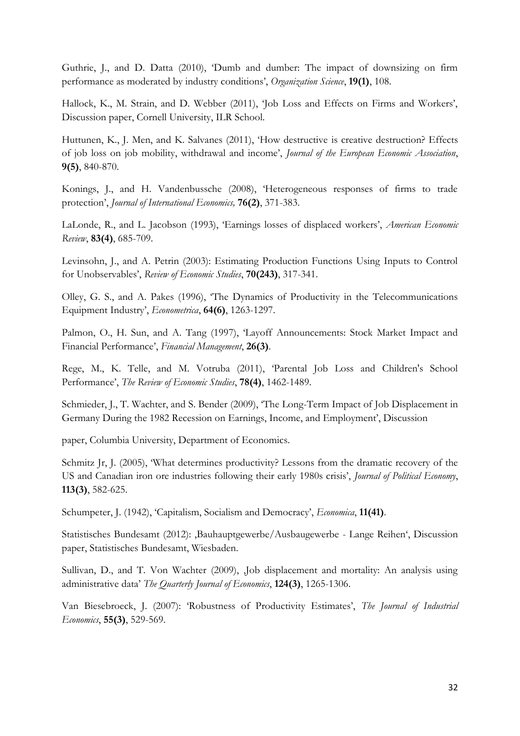Guthrie, J., and D. Datta (2010), 'Dumb and dumber: The impact of downsizing on firm performance as moderated by industry conditions', *Organization Science*, **19(1)**, 108.

Hallock, K., M. Strain, and D. Webber (2011), 'Job Loss and Effects on Firms and Workers', Discussion paper, Cornell University, ILR School.

Huttunen, K., J. Men, and K. Salvanes (2011), 'How destructive is creative destruction? Effects of job loss on job mobility, withdrawal and income', *Journal of the European Economic Association*, **9(5)**, 840-870.

Konings, J., and H. Vandenbussche (2008), 'Heterogeneous responses of firms to trade protection', *Journal of International Economics,* **76(2)**, 371-383.

LaLonde, R., and L. Jacobson (1993), 'Earnings losses of displaced workers', *American Economic Review*, **83(4)**, 685-709.

Levinsohn, J., and A. Petrin (2003): Estimating Production Functions Using Inputs to Control for Unobservables', *Review of Economic Studies*, **70(243)**, 317-341.

Olley, G. S., and A. Pakes (1996), 'The Dynamics of Productivity in the Telecommunications Equipment Industry', *Econometrica*, **64(6)**, 1263-1297.

Palmon, O., H. Sun, and A. Tang (1997), 'Layoff Announcements: Stock Market Impact and Financial Performance', *Financial Management*, **26(3)**.

Rege, M., K. Telle, and M. Votruba (2011), 'Parental Job Loss and Children's School Performance', *The Review of Economic Studies*, **78(4)**, 1462-1489.

Schmieder, J., T. Wachter, and S. Bender (2009), 'The Long-Term Impact of Job Displacement in Germany During the 1982 Recession on Earnings, Income, and Employment', Discussion

paper, Columbia University, Department of Economics.

Schmitz Jr, J. (2005), 'What determines productivity? Lessons from the dramatic recovery of the US and Canadian iron ore industries following their early 1980s crisis', *Journal of Political Economy*, **113(3)**, 582-625.

Schumpeter, J. (1942), 'Capitalism, Socialism and Democracy', *Economica*, **11(41)**.

Statistisches Bundesamt (2012): ,Bauhauptgewerbe/Ausbaugewerbe - Lange Reihen', Discussion paper, Statistisches Bundesamt, Wiesbaden.

Sullivan, D., and T. Von Wachter (2009), Job displacement and mortality: An analysis using administrative data' *The Quarterly Journal of Economics*, **124(3)**, 1265-1306.

Van Biesebroeck, J. (2007): 'Robustness of Productivity Estimates', *The Journal of Industrial Economics*, **55(3)**, 529-569.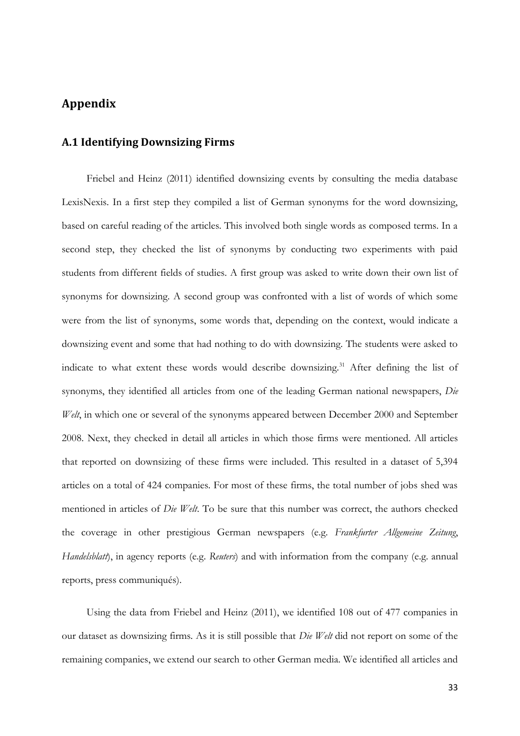## **Appendix**

## **A.1 Identifying Downsizing Firms**

Friebel and Heinz (2011) identified downsizing events by consulting the media database LexisNexis. In a first step they compiled a list of German synonyms for the word downsizing, based on careful reading of the articles. This involved both single words as composed terms. In a second step, they checked the list of synonyms by conducting two experiments with paid students from different fields of studies. A first group was asked to write down their own list of synonyms for downsizing. A second group was confronted with a list of words of which some were from the list of synonyms, some words that, depending on the context, would indicate a downsizing event and some that had nothing to do with downsizing. The students were asked to indicate to what extent these words would describe downsizing.<sup>31</sup> After defining the list of synonyms, they identified all articles from one of the leading German national newspapers, *Die Welt*, in which one or several of the synonyms appeared between December 2000 and September 2008. Next, they checked in detail all articles in which those firms were mentioned. All articles that reported on downsizing of these firms were included. This resulted in a dataset of 5,394 articles on a total of 424 companies. For most of these firms, the total number of jobs shed was mentioned in articles of *Die Welt*. To be sure that this number was correct, the authors checked the coverage in other prestigious German newspapers (e.g. *Frankfurter Allgemeine Zeitung*, *Handelsblatt*), in agency reports (e.g. *Reuters*) and with information from the company (e.g. annual reports, press communiqués).

Using the data from Friebel and Heinz (2011), we identified 108 out of 477 companies in our dataset as downsizing firms. As it is still possible that *Die Welt* did not report on some of the remaining companies, we extend our search to other German media. We identified all articles and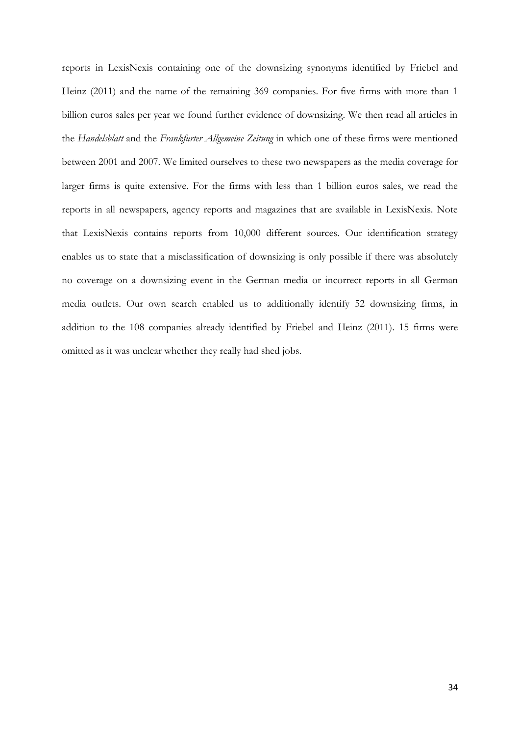reports in LexisNexis containing one of the downsizing synonyms identified by Friebel and Heinz (2011) and the name of the remaining 369 companies. For five firms with more than 1 billion euros sales per year we found further evidence of downsizing. We then read all articles in the *Handelsblatt* and the *Frankfurter Allgemeine Zeitung* in which one of these firms were mentioned between 2001 and 2007. We limited ourselves to these two newspapers as the media coverage for larger firms is quite extensive. For the firms with less than 1 billion euros sales, we read the reports in all newspapers, agency reports and magazines that are available in LexisNexis. Note that LexisNexis contains reports from 10,000 different sources. Our identification strategy enables us to state that a misclassification of downsizing is only possible if there was absolutely no coverage on a downsizing event in the German media or incorrect reports in all German media outlets. Our own search enabled us to additionally identify 52 downsizing firms, in addition to the 108 companies already identified by Friebel and Heinz (2011). 15 firms were omitted as it was unclear whether they really had shed jobs.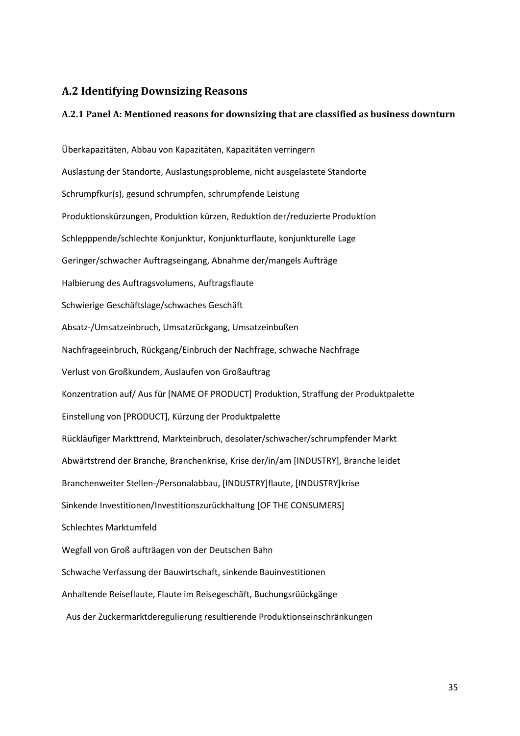## **A.2 Identifying Downsizing Reasons**

### **A.2.1 Panel A: Mentioned reasons for downsizing that are classified as business downturn**

Überkapazitäten, Abbau von Kapazitäten, Kapazitäten verringern Auslastung der Standorte, Auslastungsprobleme, nicht ausgelastete Standorte Schrumpfkur(s), gesund schrumpfen, schrumpfende Leistung Produktionskürzungen, Produktion kürzen, Reduktion der/reduzierte Produktion Schlepppende/schlechte Konjunktur, Konjunkturflaute, konjunkturelle Lage Geringer/schwacher Auftragseingang, Abnahme der/mangels Aufträge Halbierung des Auftragsvolumens, Auftragsflaute Schwierige Geschäftslage/schwaches Geschäft Absatz-/Umsatzeinbruch, Umsatzrückgang, Umsatzeinbußen Nachfrageeinbruch, Rückgang/Einbruch der Nachfrage, schwache Nachfrage Verlust von Großkundem, Auslaufen von Großauftrag Konzentration auf/ Aus für [NAME OF PRODUCT] Produktion, Straffung der Produktpalette Einstellung von [PRODUCT], Kürzung der Produktpalette Rückläufiger Markttrend, Markteinbruch, desolater/schwacher/schrumpfender Markt Abwärtstrend der Branche, Branchenkrise, Krise der/in/am [INDUSTRY], Branche leidet Branchenweiter Stellen-/Personalabbau, [INDUSTRY]flaute, [INDUSTRY]krise Sinkende Investitionen/Investitionszurückhaltung [OF THE CONSUMERS] Schlechtes Marktumfeld Wegfall von Groß aufträagen von der Deutschen Bahn Schwache Verfassung der Bauwirtschaft, sinkende Bauinvestitionen Anhaltende Reiseflaute, Flaute im Reisegeschäft, Buchungsrüückgänge Aus der Zuckermarktderegulierung resultierende Produktionseinschränkungen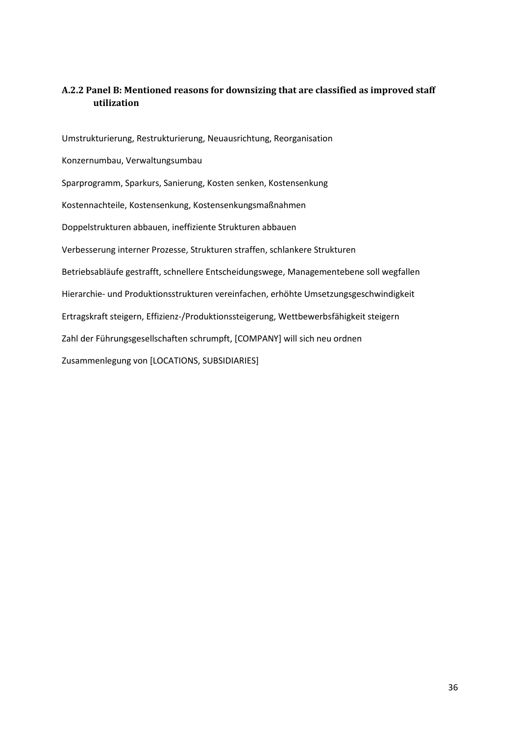## **A.2.2 Panel B: Mentioned reasons for downsizing that are classified as improved staff utilization**

Umstrukturierung, Restrukturierung, Neuausrichtung, Reorganisation Konzernumbau, Verwaltungsumbau Sparprogramm, Sparkurs, Sanierung, Kosten senken, Kostensenkung Kostennachteile, Kostensenkung, Kostensenkungsmaßnahmen Doppelstrukturen abbauen, ineffiziente Strukturen abbauen Verbesserung interner Prozesse, Strukturen straffen, schlankere Strukturen Betriebsabläufe gestrafft, schnellere Entscheidungswege, Managementebene soll wegfallen Hierarchie- und Produktionsstrukturen vereinfachen, erhöhte Umsetzungsgeschwindigkeit Ertragskraft steigern, Effizienz-/Produktionssteigerung, Wettbewerbsfähigkeit steigern Zahl der Führungsgesellschaften schrumpft, [COMPANY] will sich neu ordnen Zusammenlegung von [LOCATIONS, SUBSIDIARIES]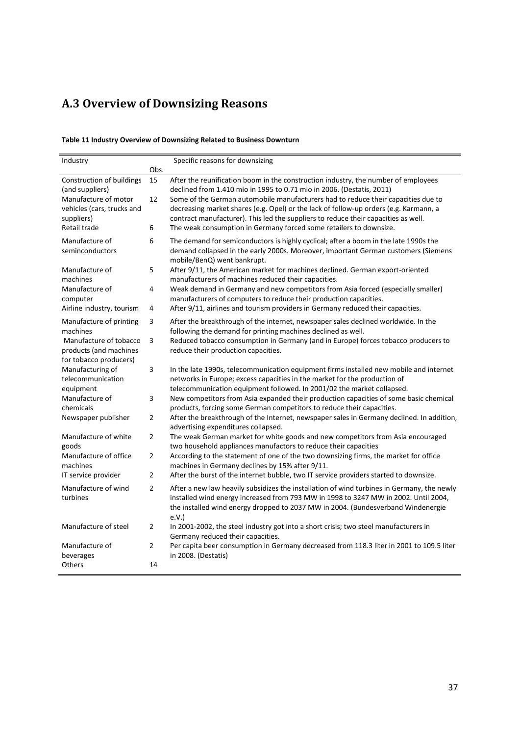## **A.3 Overview of Downsizing Reasons**

#### <span id="page-36-0"></span>**Table 11 Industry Overview of Downsizing Related to Business Downturn**

| Industry                                                                   |                | Specific reasons for downsizing                                                                                                                                                                                                                                                |
|----------------------------------------------------------------------------|----------------|--------------------------------------------------------------------------------------------------------------------------------------------------------------------------------------------------------------------------------------------------------------------------------|
|                                                                            | Obs.           |                                                                                                                                                                                                                                                                                |
| Construction of buildings<br>(and suppliers)                               | 15             | After the reunification boom in the construction industry, the number of employees<br>declined from 1.410 mio in 1995 to 0.71 mio in 2006. (Destatis, 2011)                                                                                                                    |
| Manufacture of motor<br>vehicles (cars, trucks and<br>suppliers)           | 12             | Some of the German automobile manufacturers had to reduce their capacities due to<br>decreasing market shares (e.g. Opel) or the lack of follow-up orders (e.g. Karmann, a<br>contract manufacturer). This led the suppliers to reduce their capacities as well.               |
| Retail trade                                                               | 6              | The weak consumption in Germany forced some retailers to downsize.                                                                                                                                                                                                             |
| Manufacture of<br>seminconductors                                          | 6              | The demand for semiconductors is highly cyclical; after a boom in the late 1990s the<br>demand collapsed in the early 2000s. Moreover, important German customers (Siemens<br>mobile/BenQ) went bankrupt.                                                                      |
| Manufacture of<br>machines                                                 | 5              | After 9/11, the American market for machines declined. German export-oriented<br>manufacturers of machines reduced their capacities.                                                                                                                                           |
| Manufacture of<br>computer                                                 | 4              | Weak demand in Germany and new competitors from Asia forced (especially smaller)<br>manufacturers of computers to reduce their production capacities.                                                                                                                          |
| Airline industry, tourism                                                  | 4              | After 9/11, airlines and tourism providers in Germany reduced their capacities.                                                                                                                                                                                                |
| Manufacture of printing<br>machines                                        | 3              | After the breakthrough of the internet, newspaper sales declined worldwide. In the<br>following the demand for printing machines declined as well.                                                                                                                             |
| Manufacture of tobacco<br>products (and machines<br>for tobacco producers) | 3              | Reduced tobacco consumption in Germany (and in Europe) forces tobacco producers to<br>reduce their production capacities.                                                                                                                                                      |
| Manufacturing of<br>telecommunication                                      | 3              | In the late 1990s, telecommunication equipment firms installed new mobile and internet<br>networks in Europe; excess capacities in the market for the production of                                                                                                            |
| equipment                                                                  |                | telecommunication equipment followed. In 2001/02 the market collapsed.                                                                                                                                                                                                         |
| Manufacture of<br>chemicals                                                | 3              | New competitors from Asia expanded their production capacities of some basic chemical<br>products, forcing some German competitors to reduce their capacities.                                                                                                                 |
| Newspaper publisher                                                        | $\overline{2}$ | After the breakthrough of the Internet, newspaper sales in Germany declined. In addition,<br>advertising expenditures collapsed.                                                                                                                                               |
| Manufacture of white<br>goods                                              | $\overline{2}$ | The weak German market for white goods and new competitors from Asia encouraged<br>two household appliances manufactors to reduce their capacities                                                                                                                             |
| Manufacture of office<br>machines                                          | $\overline{2}$ | According to the statement of one of the two downsizing firms, the market for office<br>machines in Germany declines by 15% after 9/11.                                                                                                                                        |
| IT service provider                                                        | $\overline{2}$ | After the burst of the internet bubble, two IT service providers started to downsize.                                                                                                                                                                                          |
| Manufacture of wind<br>turbines                                            | $\overline{2}$ | After a new law heavily subsidizes the installation of wind turbines in Germany, the newly<br>installed wind energy increased from 793 MW in 1998 to 3247 MW in 2002. Until 2004,<br>the installed wind energy dropped to 2037 MW in 2004. (Bundesverband Windenergie<br>e.V.) |
| Manufacture of steel                                                       | $\overline{2}$ | In 2001-2002, the steel industry got into a short crisis; two steel manufacturers in<br>Germany reduced their capacities.                                                                                                                                                      |
| Manufacture of<br>beverages                                                | $\overline{2}$ | Per capita beer consumption in Germany decreased from 118.3 liter in 2001 to 109.5 liter<br>in 2008. (Destatis)                                                                                                                                                                |
| Others                                                                     | 14             |                                                                                                                                                                                                                                                                                |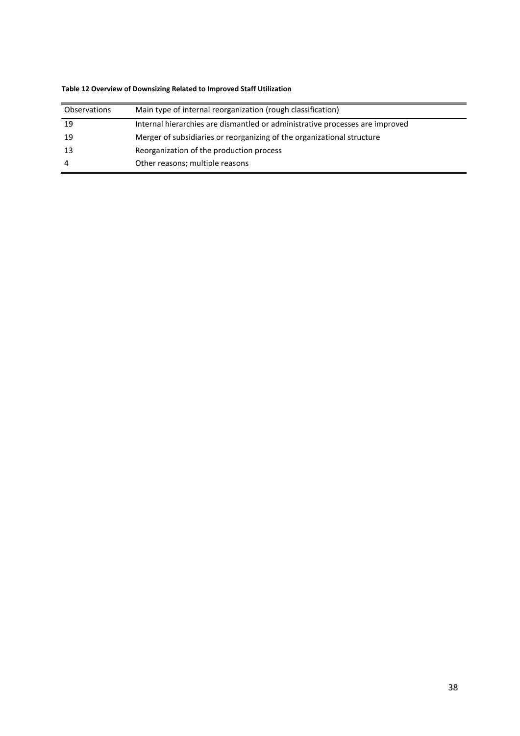| <b>Observations</b> | Main type of internal reorganization (rough classification)                  |
|---------------------|------------------------------------------------------------------------------|
| 19                  | Internal hierarchies are dismantled or administrative processes are improved |
| 19                  | Merger of subsidiaries or reorganizing of the organizational structure       |
| -13                 | Reorganization of the production process                                     |
| 4                   | Other reasons; multiple reasons                                              |

#### <span id="page-37-0"></span>**Table 12 Overview of Downsizing Related to Improved Staff Utilization**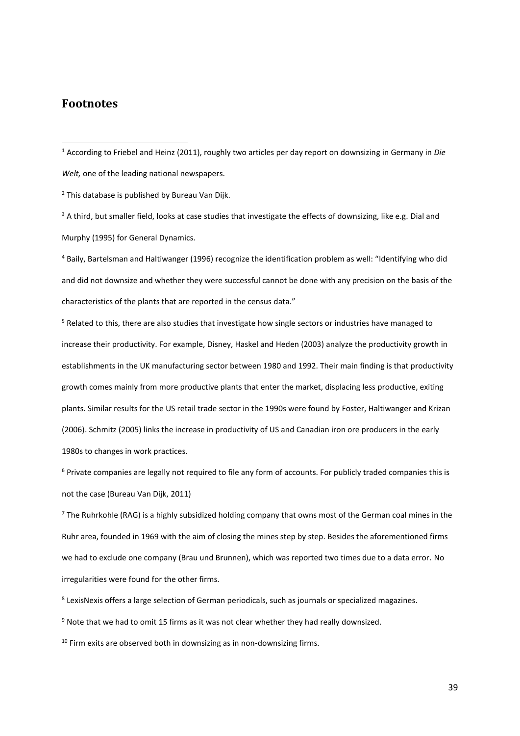## **Footnotes**

 $\overline{a}$ 

<sup>1</sup> According to Friebel and Heinz (2011), roughly two articles per day report on downsizing in Germany in *Die Welt,* one of the leading national newspapers.

<sup>2</sup> This database is published by Bureau Van Dijk.

<sup>3</sup> A third, but smaller field, looks at case studies that investigate the effects of downsizing, like e.g. Dial and Murphy (1995) for General Dynamics.

<sup>4</sup> Baily, Bartelsman and Haltiwanger (1996) recognize the identification problem as well: "Identifying who did and did not downsize and whether they were successful cannot be done with any precision on the basis of the characteristics of the plants that are reported in the census data."

<sup>5</sup> Related to this, there are also studies that investigate how single sectors or industries have managed to increase their productivity. For example, Disney, Haskel and Heden (2003) analyze the productivity growth in establishments in the UK manufacturing sector between 1980 and 1992. Their main finding is that productivity growth comes mainly from more productive plants that enter the market, displacing less productive, exiting plants. Similar results for the US retail trade sector in the 1990s were found by Foster, Haltiwanger and Krizan (2006). Schmitz (2005) links the increase in productivity of US and Canadian iron ore producers in the early 1980s to changes in work practices.

<sup>6</sup> Private companies are legally not required to file any form of accounts. For publicly traded companies this is not the case (Bureau Van Dijk, 2011)

 $<sup>7</sup>$  The Ruhrkohle (RAG) is a highly subsidized holding company that owns most of the German coal mines in the</sup> Ruhr area, founded in 1969 with the aim of closing the mines step by step. Besides the aforementioned firms we had to exclude one company (Brau und Brunnen), which was reported two times due to a data error. No irregularities were found for the other firms.

8 LexisNexis offers a large selection of German periodicals, such as journals or specialized magazines.

 $9$  Note that we had to omit 15 firms as it was not clear whether they had really downsized.

 $10$  Firm exits are observed both in downsizing as in non-downsizing firms.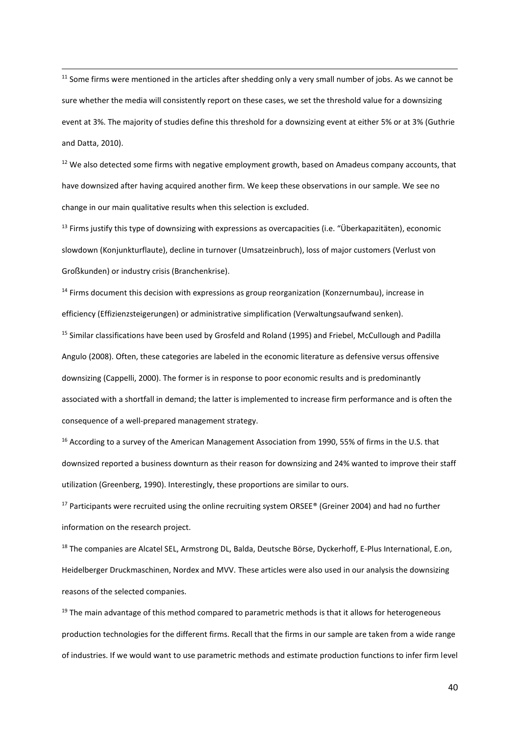<sup>11</sup> Some firms were mentioned in the articles after shedding only a very small number of jobs. As we cannot be sure whether the media will consistently report on these cases, we set the threshold value for a downsizing event at 3%. The majority of studies define this threshold for a downsizing event at either 5% or at 3% (Guthrie and Datta, 2010).

 $\overline{a}$ 

 $12$  We also detected some firms with negative employment growth, based on Amadeus company accounts, that have downsized after having acquired another firm. We keep these observations in our sample. We see no change in our main qualitative results when this selection is excluded.

 $13$  Firms justify this type of downsizing with expressions as overcapacities (i.e. "Überkapazitäten), economic slowdown (Konjunkturflaute), decline in turnover (Umsatzeinbruch), loss of major customers (Verlust von Großkunden) or industry crisis (Branchenkrise).

 $14$  Firms document this decision with expressions as group reorganization (Konzernumbau), increase in efficiency (Effizienzsteigerungen) or administrative simplification (Verwaltungsaufwand senken).

<sup>15</sup> Similar classifications have been used by Grosfeld and Roland (1995) and Friebel, McCullough and Padilla Angulo (2008). Often, these categories are labeled in the economic literature as defensive versus offensive downsizing (Cappelli, 2000). The former is in response to poor economic results and is predominantly associated with a shortfall in demand; the latter is implemented to increase firm performance and is often the consequence of a well-prepared management strategy.

<sup>16</sup> According to a survey of the American Management Association from 1990, 55% of firms in the U.S. that downsized reported a business downturn as their reason for downsizing and 24% wanted to improve their staff utilization (Greenberg, 1990). Interestingly, these proportions are similar to ours.

<sup>17</sup> Participants were recruited using the online recruiting system ORSEE<sup>®</sup> (Greiner 2004) and had no further information on the research project.

<sup>18</sup> The companies are Alcatel SEL, Armstrong DL, Balda, Deutsche Börse, Dyckerhoff, E-Plus International, E.on, Heidelberger Druckmaschinen, Nordex and MVV. These articles were also used in our analysis the downsizing reasons of the selected companies.

 $19$  The main advantage of this method compared to parametric methods is that it allows for heterogeneous production technologies for the different firms. Recall that the firms in our sample are taken from a wide range of industries. If we would want to use parametric methods and estimate production functions to infer firm level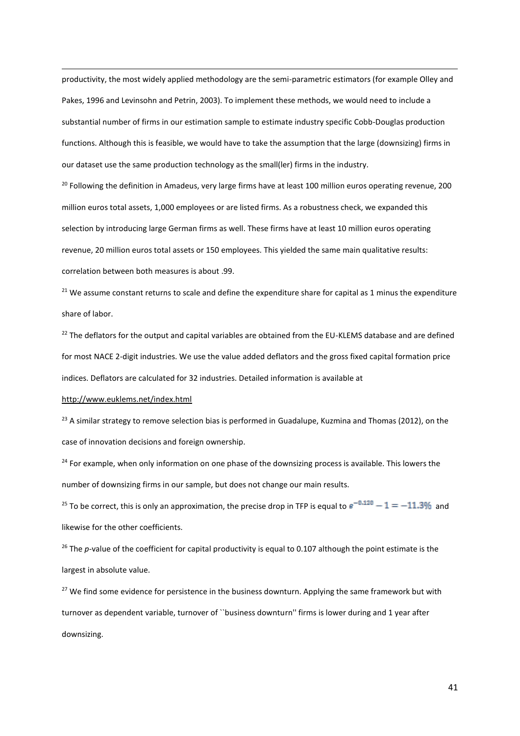productivity, the most widely applied methodology are the semi-parametric estimators (for example Olley and Pakes, 1996 and Levinsohn and Petrin, 2003). To implement these methods, we would need to include a substantial number of firms in our estimation sample to estimate industry specific Cobb-Douglas production functions. Although this is feasible, we would have to take the assumption that the large (downsizing) firms in our dataset use the same production technology as the small(ler) firms in the industry.

<sup>20</sup> Following the definition in Amadeus, very large firms have at least 100 million euros operating revenue, 200 million euros total assets, 1,000 employees or are listed firms. As a robustness check, we expanded this selection by introducing large German firms as well. These firms have at least 10 million euros operating revenue, 20 million euros total assets or 150 employees. This yielded the same main qualitative results: correlation between both measures is about .99.

 $21$  We assume constant returns to scale and define the expenditure share for capital as 1 minus the expenditure share of labor.

<sup>22</sup> The deflators for the output and capital variables are obtained from the EU-KLEMS database and are defined for most NACE 2-digit industries. We use the value added deflators and the gross fixed capital formation price indices. Deflators are calculated for 32 industries. Detailed information is available at

#### <http://www.euklems.net/index.html>

 $\overline{a}$ 

 $^{23}$  A similar strategy to remove selection bias is performed in Guadalupe, Kuzmina and Thomas (2012), on the case of innovation decisions and foreign ownership.

<sup>24</sup> For example, when only information on one phase of the downsizing process is available. This lowers the number of downsizing firms in our sample, but does not change our main results.

<sup>25</sup> To be correct, this is only an approximation, the precise drop in TFP is equal to  $e^{-0.120} - 1 = -11.3\%$  and likewise for the other coefficients.

<sup>26</sup> The *p*-value of the coefficient for capital productivity is equal to 0.107 although the point estimate is the largest in absolute value.

<sup>27</sup> We find some evidence for persistence in the business downturn. Applying the same framework but with turnover as dependent variable, turnover of ``business downturn'' firms is lower during and 1 year after downsizing.